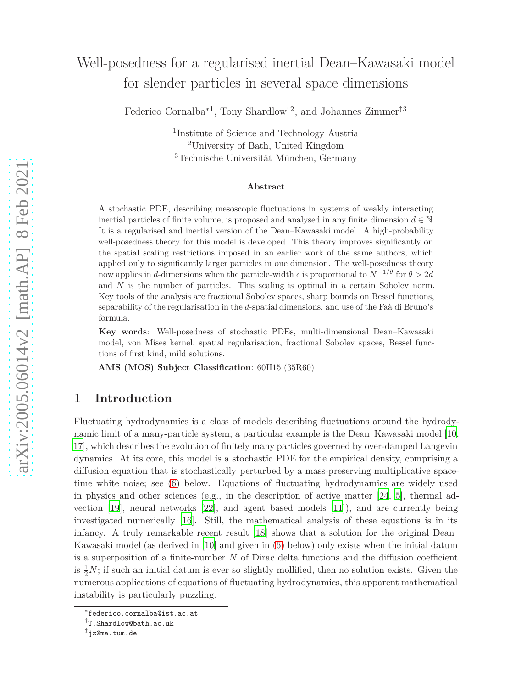# Well-posedness for a regularised inertial Dean–Kawasaki model for slender particles in several space dimensions

Federico Cornalba∗1, Tony Shardlow†2, and Johannes Zimmer‡3

1 Institute of Science and Technology Austria <sup>2</sup>University of Bath, United Kingdom  $3$ Technische Universität München, Germany

#### **Abstract**

A stochastic PDE, describing mesoscopic fluctuations in systems of weakly interacting inertial particles of finite volume, is proposed and analysed in any finite dimension  $d \in \mathbb{N}$ . It is a regularised and inertial version of the Dean–Kawasaki model. A high-probability well-posedness theory for this model is developed. This theory improves significantly on the spatial scaling restrictions imposed in an earlier work of the same authors, which applied only to significantly larger particles in one dimension. The well-posedness theory now applies in *d*-dimensions when the particle-width  $\epsilon$  is proportional to  $N^{-1/\theta}$  for  $\theta > 2d$ and *N* is the number of particles. This scaling is optimal in a certain Sobolev norm. Key tools of the analysis are fractional Sobolev spaces, sharp bounds on Bessel functions, separability of the regularisation in the *d*-spatial dimensions, and use of the Faà di Bruno's formula.

**Key words**: Well-posedness of stochastic PDEs, multi-dimensional Dean–Kawasaki model, von Mises kernel, spatial regularisation, fractional Sobolev spaces, Bessel functions of first kind, mild solutions.

**AMS (MOS) Subject Classification**: 60H15 (35R60)

## **1 Introduction**

Fluctuating hydrodynamics is a class of models describing fluctuations around the hydrodynamic limit of a many-particle system; a particular example is the Dean–Kawasaki model [\[10](#page-26-0), [17](#page-27-0)], which describes the evolution of finitely many particles governed by over-damped Langevin dynamics. At its core, this model is a stochastic PDE for the empirical density, comprising a diffusion equation that is stochastically perturbed by a mass-preserving multiplicative spacetime white noise; see [\(6\)](#page-4-0) below. Equations of fluctuating hydrodynamics are widely used in physics and other sciences (e.g., in the description of active matter  $[24, 5]$  $[24, 5]$ , thermal advection [\[19\]](#page-27-2), neural networks [\[22](#page-27-3)], and agent based models [\[11\]](#page-26-2)), and are currently being investigated numerically [\[16\]](#page-27-4). Still, the mathematical analysis of these equations is in its infancy. A truly remarkable recent result [\[18](#page-27-5)] shows that a solution for the original Dean– Kawasaki model (as derived in [\[10](#page-26-0)] and given in [\(6\)](#page-4-0) below) only exists when the initial datum is a superposition of a finite-number *N* of Dirac delta functions and the diffusion coefficient is  $\frac{1}{2}N$ ; if such an initial datum is ever so slightly mollified, then no solution exists. Given the numerous applications of equations of fluctuating hydrodynamics, this apparent mathematical instability is particularly puzzling.

<sup>∗</sup> federico.cornalba@ist.ac.at

<sup>†</sup> T.Shardlow@bath.ac.uk

<sup>‡</sup> jz@ma.tum.de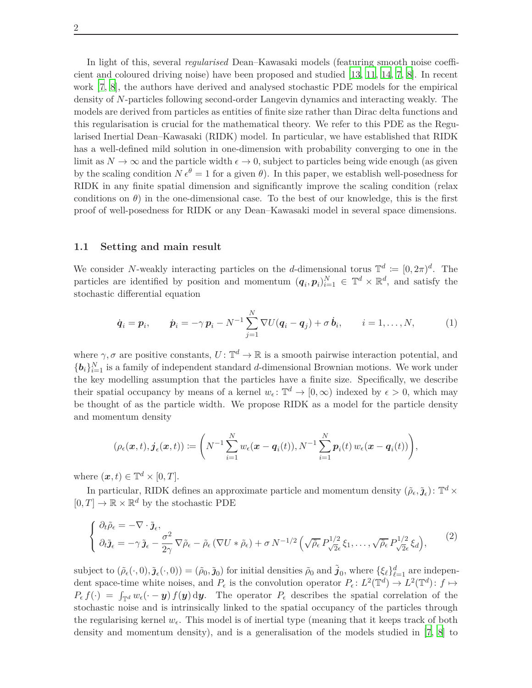In light of this, several *regularised* Dean–Kawasaki models (featuring smooth noise coefficient and coloured driving noise) have been proposed and studied [\[13,](#page-27-6) [11](#page-26-2), [14](#page-27-7), [7](#page-26-3), [8](#page-26-4)]. In recent work [\[7](#page-26-3), [8\]](#page-26-4), the authors have derived and analysed stochastic PDE models for the empirical density of *N*-particles following second-order Langevin dynamics and interacting weakly. The models are derived from particles as entities of finite size rather than Dirac delta functions and this regularisation is crucial for the mathematical theory. We refer to this PDE as the Regularised Inertial Dean–Kawasaki (RIDK) model. In particular, we have established that RIDK has a well-defined mild solution in one-dimension with probability converging to one in the limit as  $N \to \infty$  and the particle width  $\epsilon \to 0$ , subject to particles being wide enough (as given by the scaling condition  $N \epsilon^{\theta} = 1$  for a given  $\theta$ ). In this paper, we establish well-posedness for RIDK in any finite spatial dimension and significantly improve the scaling condition (relax conditions on  $\theta$ ) in the one-dimensional case. To the best of our knowledge, this is the first proof of well-posedness for RIDK or any Dean–Kawasaki model in several space dimensions.

#### **1.1 Setting and main result**

We consider *N*-weakly interacting particles on the *d*-dimensional torus  $\mathbb{T}^d := [0, 2\pi)^d$ . The particles are identified by position and momentum  $(q_i, p_i)_{i=1}^N \in \mathbb{T}^d \times \mathbb{R}^d$ , and satisfy the stochastic differential equation

<span id="page-1-1"></span>
$$
\dot{\boldsymbol{q}}_i = \boldsymbol{p}_i, \qquad \dot{\boldsymbol{p}}_i = -\gamma \, \boldsymbol{p}_i - N^{-1} \sum_{j=1}^N \nabla U(\boldsymbol{q}_i - \boldsymbol{q}_j) + \sigma \, \dot{\boldsymbol{b}}_i, \qquad i = 1, \ldots, N, \tag{1}
$$

where  $\gamma$ ,  $\sigma$  are positive constants,  $U: \mathbb{T}^d \to \mathbb{R}$  is a smooth pairwise interaction potential, and  ${b_i}_{i=1}^N$  is a family of independent standard *d*-dimensional Brownian motions. We work under the key modelling assumption that the particles have a finite size. Specifically, we describe their spatial occupancy by means of a kernel  $w_{\epsilon}$ :  $\mathbb{T}^{d} \to [0, \infty)$  indexed by  $\epsilon > 0$ , which may be thought of as the particle width. We propose RIDK as a model for the particle density and momentum density

$$
(\rho_{\epsilon}(\boldsymbol{x},t),\boldsymbol{j}_{\epsilon}(\boldsymbol{x},t)):=\bigg(N^{-1}\sum_{i=1}^N w_{\epsilon}(\boldsymbol{x}-\boldsymbol{q}_i(t)),N^{-1}\sum_{i=1}^N \boldsymbol{p}_i(t)\,w_{\epsilon}(\boldsymbol{x}-\boldsymbol{q}_i(t))\bigg),
$$

where  $(\boldsymbol{x}, t) \in \mathbb{T}^d \times [0, T]$ .

In particular, RIDK defines an approximate particle and momentum density  $(\tilde{\rho}_{\epsilon}, \tilde{\mathbf{j}}_{\epsilon})$ :  $\mathbb{T}^d \times$  $[0, T] \to \mathbb{R} \times \mathbb{R}^d$  by the stochastic PDE

<span id="page-1-0"></span>
$$
\begin{cases} \n\partial_t \tilde{\rho}_{\epsilon} = -\nabla \cdot \tilde{\mathbf{j}}_{\epsilon}, \\
\partial_t \tilde{\mathbf{j}}_{\epsilon} = -\gamma \tilde{\mathbf{j}}_{\epsilon} - \frac{\sigma^2}{2\gamma} \nabla \tilde{\rho}_{\epsilon} - \tilde{\rho}_{\epsilon} (\nabla U * \tilde{\rho}_{\epsilon}) + \sigma N^{-1/2} \left( \sqrt{\tilde{\rho}_{\epsilon}} P_{\sqrt{2}\epsilon}^{1/2} \xi_1, \dots, \sqrt{\tilde{\rho}_{\epsilon}} P_{\sqrt{2}\epsilon}^{1/2} \xi_d \right),\n\end{cases} (2)
$$

subject to  $(\tilde{\rho}_{\epsilon}(\cdot,0),\tilde{\boldsymbol{\jmath}}_{\epsilon}(\cdot,0)) = (\tilde{\rho}_{0},\tilde{\boldsymbol{\jmath}}_{0})$  for initial densities  $\tilde{\rho}_{0}$  and  $\tilde{\boldsymbol{\jmath}}_{0}$ , where  $\{\xi_{\ell}\}_{\ell=1}^{d}$  are independent space-time white noises, and  $P_{\epsilon}$  is the convolution operator  $P_{\epsilon} : L^2(\mathbb{T}^d) \to L^2(\mathbb{T}^d) : f \mapsto$  $P_{\epsilon} f(\cdot) = \int_{\mathbb{T}^d} w_{\epsilon}(\cdot - \mathbf{y}) f(\mathbf{y}) d\mathbf{y}$ . The operator  $P_{\epsilon}$  describes the spatial correlation of the stochastic noise and is intrinsically linked to the spatial occupancy of the particles through the regularising kernel  $w_{\epsilon}$ . This model is of inertial type (meaning that it keeps track of both density and momentum density), and is a generalisation of the models studied in [\[7](#page-26-3), [8\]](#page-26-4) to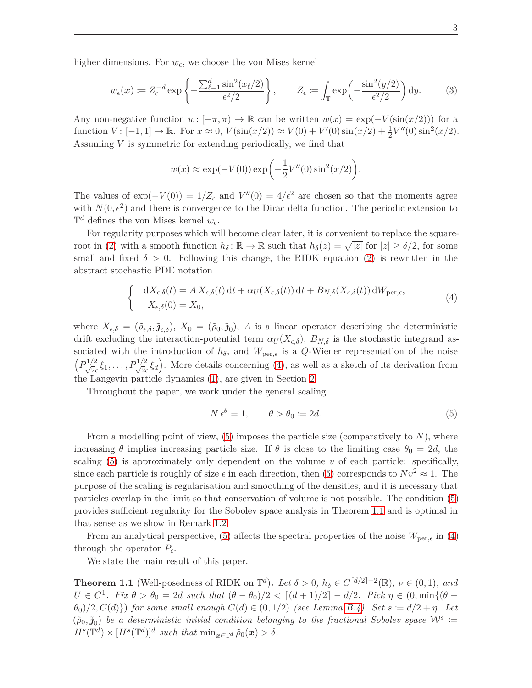higher dimensions. For  $w_{\epsilon}$ , we choose the von Mises kernel

$$
w_{\epsilon}(\boldsymbol{x}) \coloneqq Z_{\epsilon}^{-d} \exp\left\{-\frac{\sum_{\ell=1}^{d} \sin^{2}(x_{\ell}/2)}{\epsilon^{2}/2}\right\}, \qquad Z_{\epsilon} \coloneqq \int_{\mathbb{T}} \exp\left(-\frac{\sin^{2}(y/2)}{\epsilon^{2}/2}\right) dy. \tag{3}
$$

Any non-negative function  $w: [-\pi, \pi) \to \mathbb{R}$  can be written  $w(x) = \exp(-V(\sin(x/2)))$  for a function  $V: [-1, 1] \to \mathbb{R}$ . For  $x \approx 0$ ,  $V(\sin(x/2)) \approx V(0) + V'(0) \sin(x/2) + \frac{1}{2}V''(0) \sin^2(x/2)$ . Assuming *V* is symmetric for extending periodically, we find that

<span id="page-2-3"></span>
$$
w(x) \approx \exp(-V(0)) \exp\left(-\frac{1}{2}V''(0)\sin^2(x/2)\right).
$$

The values of  $\exp(-V(0)) = 1/Z_{\epsilon}$  and  $V''(0) = 4/\epsilon^2$  are chosen so that the moments agree with  $N(0, \epsilon^2)$  and there is convergence to the Dirac delta function. The periodic extension to  $\mathbb{T}^d$  defines the von Mises kernel  $w_{\epsilon}$ .

For regularity purposes which will become clear later, it is convenient to replace the square-root in [\(2\)](#page-1-0) with a smooth function  $h_{\delta}$ :  $\mathbb{R} \to \mathbb{R}$  such that  $h_{\delta}(z) = \sqrt{|z|}$  for  $|z| \ge \delta/2$ , for some small and fixed  $\delta > 0$ . Following this change, the RIDK equation [\(2\)](#page-1-0) is rewritten in the abstract stochastic PDE notation

<span id="page-2-0"></span>
$$
\begin{cases} dX_{\epsilon,\delta}(t) = A X_{\epsilon,\delta}(t) dt + \alpha_U(X_{\epsilon,\delta}(t)) dt + B_{N,\delta}(X_{\epsilon,\delta}(t)) dW_{\text{per},\epsilon}, \\ X_{\epsilon,\delta}(0) = X_0, \end{cases}
$$
\n(4)

where  $X_{\epsilon,\delta} = (\tilde{\rho}_{\epsilon,\delta}, \tilde{\jmath}_{\epsilon,\delta}), X_0 = (\tilde{\rho}_0, \tilde{\jmath}_0), A$  is a linear operator describing the deterministic drift excluding the interaction-potential term  $\alpha_U(X_{\epsilon,\delta})$ ,  $B_{N,\delta}$  is the stochastic integrand associated with the introduction of  $h_\delta$ , and  $W_{\text{per},\epsilon}$  is a *Q*-Wiener representation of the noise  $\left(P_{\sqrt{2}\epsilon}^{1/2}\xi_1,\ldots,P_{\sqrt{2}\epsilon}^{1/2}\xi_d\right)$ . More details concerning [\(4\)](#page-2-0), as well as a sketch of its derivation from the Langevin particle dynamics [\(1\)](#page-1-1), are given in Section [2.](#page-6-0)

Throughout the paper, we work under the general scaling

<span id="page-2-1"></span>
$$
N \epsilon^{\theta} = 1, \qquad \theta > \theta_0 := 2d. \tag{5}
$$

From a modelling point of view, [\(5\)](#page-2-1) imposes the particle size (comparatively to *N*), where increasing *θ* implies increasing particle size. If *θ* is close to the limiting case  $\theta_0 = 2d$ , the scaling  $(5)$  is approximately only dependent on the volume  $v$  of each particle: specifically, since each particle is roughly of size  $\epsilon$  in each direction, then [\(5\)](#page-2-1) corresponds to  $Nv^2 \approx 1$ . The purpose of the scaling is regularisation and smoothing of the densities, and it is necessary that particles overlap in the limit so that conservation of volume is not possible. The condition [\(5\)](#page-2-1) provides sufficient regularity for the Sobolev space analysis in Theorem [1.1](#page-2-2) and is optimal in that sense as we show in Remark [1.2.](#page-3-0)

From an analytical perspective, [\(5\)](#page-2-1) affects the spectral properties of the noise  $W_{\text{per},\epsilon}$  in [\(4\)](#page-2-0) through the operator  $P_{\epsilon}$ .

We state the main result of this paper.

<span id="page-2-2"></span>**Theorem 1.1** (Well-posedness of RIDK on  $\mathbb{T}^d$ ). Let  $\delta > 0$ ,  $h_{\delta} \in C^{\lceil d/2 \rceil + 2}(\mathbb{R})$ ,  $\nu \in (0, 1)$ , and *U* ∈ *C*<sup>1</sup>*. Fix*  $\theta > \theta_0 = 2d$  *such that*  $(\theta - \theta_0)/2 < [(d+1)/2] - d/2$ *. Pick*  $\eta \in (0, \min\{(\theta - \theta_0)/2\}$ *θ*0)*/*2*, C*(*d*)}) *for some small enough C*(*d*) ∈ (0*,* 1*/*2) *(see Lemma [B.4\)](#page-22-0). Set s* := *d/*2 + *η. Let*  $(\tilde{\rho}_0, \tilde{\mathbf{j}}_0)$  be a deterministic initial condition belonging to the fractional Sobolev space  $\mathcal{W}^s :=$  $H^{s}(\mathbb{T}^{d}) \times [H^{s}(\mathbb{T}^{d})]^{d}$  such that  $\min_{x \in \mathbb{T}^{d}} \tilde{\rho}_{0}(x) > \delta$ .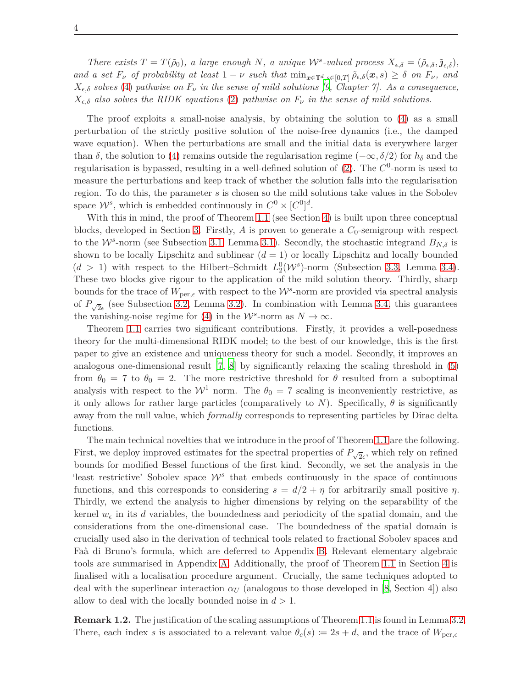*There exists*  $T = T(\tilde{\rho}_0)$ *, a large enough*  $N$ *, a unique*  $W^s$ -valued process  $X_{\epsilon,\delta} = (\tilde{\rho}_{\epsilon,\delta}, \tilde{\jmath}_{\epsilon,\delta})$ *,* and a set  $F_{\nu}$  of probability at least  $1-\nu$  such that  $\min_{x \in \mathbb{T}^d, s \in [0,T]} \tilde{\rho}_{\epsilon,\delta}(x,s) \geq \delta$  on  $F_{\nu}$ , and  $X_{\epsilon,\delta}$  *solves* [\(4\)](#page-2-0) *pathwise on*  $F_{\nu}$  *in the sense of mild solutions* [\[9](#page-26-5), *Chapter 7].* As a consequence,  $X_{\epsilon,\delta}$  *also solves the RIDK equations* [\(2\)](#page-1-0) *pathwise on*  $F_{\nu}$  *in the sense of mild solutions.* 

The proof exploits a small-noise analysis, by obtaining the solution to [\(4\)](#page-2-0) as a small perturbation of the strictly positive solution of the noise-free dynamics (i.e., the damped wave equation). When the perturbations are small and the initial data is everywhere larger than  $\delta$ , the solution to [\(4\)](#page-2-0) remains outside the regularisation regime ( $-\infty$ ,  $\delta/2$ ) for  $h_{\delta}$  and the regularisation is bypassed, resulting in a well-defined solution of [\(2\)](#page-1-0). The  $C^0$ -norm is used to measure the perturbations and keep track of whether the solution falls into the regularisation region. To do this, the parameter *s* is chosen so the mild solutions take values in the Sobolev space  $W^s$ , which is embedded continuously in  $C^0 \times [C^0]^d$ .

With this in mind, the proof of Theorem [1.1](#page-2-2) (see Section [4\)](#page-17-0) is built upon three conceptual blocks, developed in Section [3.](#page-8-0) Firstly, *A* is proven to generate a *C*0-semigroup with respect to the  $W^s$ -norm (see Subsection [3.1,](#page-8-1) Lemma [3.1\)](#page-9-0). Secondly, the stochastic integrand  $B_{N,\delta}$  is shown to be locally Lipschitz and sublinear  $(d = 1)$  or locally Lipschitz and locally bounded  $(d > 1)$  with respect to the Hilbert–Schmidt  $L_2^0(\mathcal{W}^s)$ -norm (Subsection [3.3,](#page-12-0) Lemma [3.4\)](#page-12-1). These two blocks give rigour to the application of the mild solution theory. Thirdly, sharp bounds for the trace of  $W_{\text{per},\epsilon}$  with respect to the  $\mathcal{W}^s$ -norm are provided via spectral analysis of  $P_{\sqrt{2}\epsilon}$  (see Subsection [3.2,](#page-10-0) Lemma [3.2\)](#page-10-1). In combination with Lemma [3.4,](#page-12-1) this guarantees the vanishing-noise regime for [\(4\)](#page-2-0) in the  $W^s$ -norm as  $N \to \infty$ .

Theorem [1.1](#page-2-2) carries two significant contributions. Firstly, it provides a well-posedness theory for the multi-dimensional RIDK model; to the best of our knowledge, this is the first paper to give an existence and uniqueness theory for such a model. Secondly, it improves an analogous one-dimensional result [\[7](#page-26-3), [8](#page-26-4)] by significantly relaxing the scaling threshold in [\(5\)](#page-2-1) from  $\theta_0 = 7$  to  $\theta_0 = 2$ . The more restrictive threshold for  $\theta$  resulted from a suboptimal analysis with respect to the  $W^1$  norm. The  $\theta_0 = 7$  scaling is inconveniently restrictive, as it only allows for rather large particles (comparatively to *N*). Specifically,  $\theta$  is significantly away from the null value, which *formally* corresponds to representing particles by Dirac delta functions.

The main technical novelties that we introduce in the proof of Theorem [1.1](#page-2-2) are the following. First, we deploy improved estimates for the spectral properties of  $P_{\sqrt{2}\epsilon}$ , which rely on refined bounds for modified Bessel functions of the first kind. Secondly, we set the analysis in the 'least restrictive' Sobolev space  $\mathcal{W}^s$  that embeds continuously in the space of continuous functions, and this corresponds to considering  $s = d/2 + \eta$  for arbitrarily small positive  $\eta$ . Thirdly, we extend the analysis to higher dimensions by relying on the separability of the kernel  $w_{\epsilon}$  in its *d* variables, the boundedness and periodicity of the spatial domain, and the considerations from the one-dimensional case. The boundedness of the spatial domain is crucially used also in the derivation of technical tools related to fractional Sobolev spaces and Faà di Bruno's formula, which are deferred to Appendix [B.](#page-20-0) Relevant elementary algebraic tools are summarised in Appendix [A.](#page-19-0) Additionally, the proof of Theorem [1.1](#page-2-2) in Section [4](#page-17-0) is finalised with a localisation procedure argument. Crucially, the same techniques adopted to deal with the superlinear interaction  $\alpha_U$  (analogous to those developed in [\[8,](#page-26-4) Section 4]) also allow to deal with the locally bounded noise in *d >* 1.

<span id="page-3-0"></span>**Remark 1.2.** The justification of the scaling assumptions of Theorem [1.1](#page-2-2) is found in Lemma [3.2.](#page-10-1) There, each index *s* is associated to a relevant value  $\theta_c(s) \coloneqq 2s + d$ , and the trace of  $W_{\text{per},\epsilon}$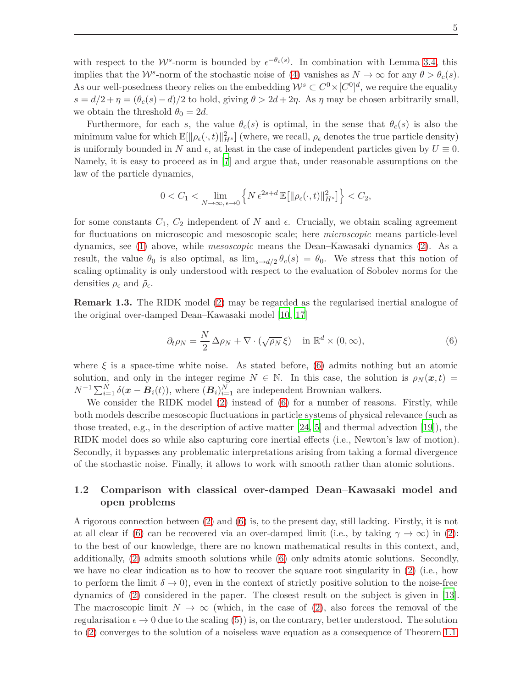with respect to the  $W^s$ -norm is bounded by  $\epsilon^{-\theta_c(s)}$ . In combination with Lemma [3.4,](#page-12-1) this implies that the  $W^s$ -norm of the stochastic noise of [\(4\)](#page-2-0) vanishes as  $N \to \infty$  for any  $\theta > \theta_c(s)$ . As our well-posedness theory relies on the embedding  $\mathcal{W}^s \subset C^0 \times [C^0]^d$ , we require the equality  $s = d/2 + \eta = (\theta_c(s) - d)/2$  to hold, giving  $\theta > 2d + 2\eta$ . As  $\eta$  may be chosen arbitrarily small, we obtain the threshold  $\theta_0 = 2d$ .

Furthermore, for each *s*, the value  $\theta_c(s)$  is optimal, in the sense that  $\theta_c(s)$  is also the minimum value for which  $\mathbb{E}[\|\rho_{\epsilon}(\cdot,t)\|_{H^{s}}^{2}]$  (where, we recall,  $\rho_{\epsilon}$  denotes the true particle density) is uniformly bounded in *N* and  $\epsilon$ , at least in the case of independent particles given by  $U \equiv 0$ . Namely, it is easy to proceed as in [\[7\]](#page-26-3) and argue that, under reasonable assumptions on the law of the particle dynamics,

$$
0 < C_1 < \lim_{N \to \infty, \epsilon \to 0} \left\{ N \epsilon^{2s+d} \mathbb{E} \left[ \| \rho_{\epsilon}(\cdot, t) \|_{H^s}^2 \right] \right\} < C_2,
$$

for some constants  $C_1$ ,  $C_2$  independent of N and  $\epsilon$ . Crucially, we obtain scaling agreement for fluctuations on microscopic and mesoscopic scale; here *microscopic* means particle-level dynamics, see [\(1\)](#page-1-1) above, while *mesoscopic* means the Dean–Kawasaki dynamics [\(2\)](#page-1-0). As a result, the value  $\theta_0$  is also optimal, as  $\lim_{s\to d/2} \theta_c(s) = \theta_0$ . We stress that this notion of scaling optimality is only understood with respect to the evaluation of Sobolev norms for the densities  $\rho_{\epsilon}$  and  $\tilde{\rho}_{\epsilon}$ .

**Remark 1.3.** The RIDK model [\(2\)](#page-1-0) may be regarded as the regularised inertial analogue of the original over-damped Dean–Kawasaki model [\[10](#page-26-0), [17](#page-27-0)]

<span id="page-4-0"></span>
$$
\partial_t \rho_N = \frac{N}{2} \Delta \rho_N + \nabla \cdot (\sqrt{\rho_N} \xi) \quad \text{in } \mathbb{R}^d \times (0, \infty), \tag{6}
$$

where  $\xi$  is a space-time white noise. As stated before, [\(6\)](#page-4-0) admits nothing but an atomic solution, and only in the integer regime  $N \in \mathbb{N}$ . In this case, the solution is  $\rho_N(\bm{x}, t) =$  $N^{-1} \sum_{i=1}^{N} \delta(\boldsymbol{x} - \boldsymbol{B}_i(t))$ , where  $(\boldsymbol{B}_i)_{i=1}^N$  are independent Brownian walkers.

We consider the RIDK model [\(2\)](#page-1-0) instead of [\(6\)](#page-4-0) for a number of reasons. Firstly, while both models describe mesoscopic fluctuations in particle systems of physical relevance (such as those treated, e.g., in the description of active matter  $[24, 5]$  $[24, 5]$  and thermal advection  $[19]$ ), the RIDK model does so while also capturing core inertial effects (i.e., Newton's law of motion). Secondly, it bypasses any problematic interpretations arising from taking a formal divergence of the stochastic noise. Finally, it allows to work with smooth rather than atomic solutions.

## **1.2 Comparison with classical over-damped Dean–Kawasaki model and open problems**

A rigorous connection between [\(2\)](#page-1-0) and [\(6\)](#page-4-0) is, to the present day, still lacking. Firstly, it is not at all clear if [\(6\)](#page-4-0) can be recovered via an over-damped limit (i.e., by taking  $\gamma \to \infty$ ) in [\(2\)](#page-1-0): to the best of our knowledge, there are no known mathematical results in this context, and, additionally, [\(2\)](#page-1-0) admits smooth solutions while [\(6\)](#page-4-0) only admits atomic solutions. Secondly, we have no clear indication as to how to recover the square root singularity in [\(2\)](#page-1-0) (i.e., how to perform the limit  $\delta \to 0$ , even in the context of strictly positive solution to the noise-free dynamics of [\(2\)](#page-1-0) considered in the paper. The closest result on the subject is given in [\[13\]](#page-27-6). The macroscopic limit  $N \to \infty$  (which, in the case of [\(2\)](#page-1-0), also forces the removal of the regularisation  $\epsilon \to 0$  due to the scaling [\(5\)](#page-2-1)) is, on the contrary, better understood. The solution to [\(2\)](#page-1-0) converges to the solution of a noiseless wave equation as a consequence of Theorem [1.1;](#page-2-2)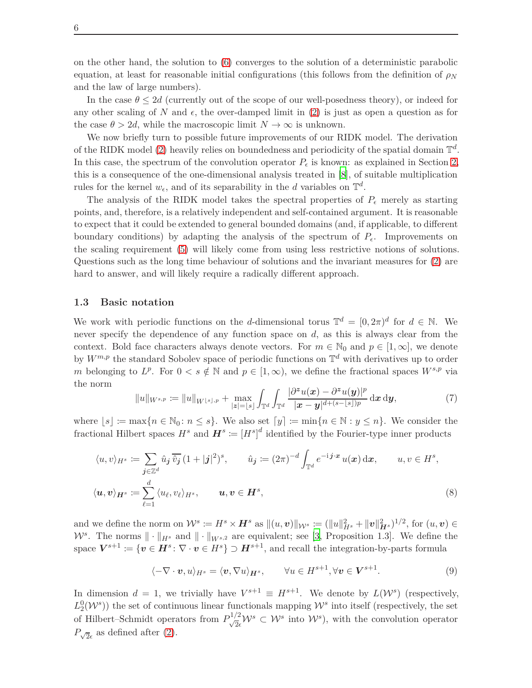on the other hand, the solution to [\(6\)](#page-4-0) converges to the solution of a deterministic parabolic equation, at least for reasonable initial configurations (this follows from the definition of  $\rho_N$ and the law of large numbers).

In the case  $\theta \leq 2d$  (currently out of the scope of our well-posedness theory), or indeed for any other scaling of N and  $\epsilon$ , the over-damped limit in [\(2\)](#page-1-0) is just as open a question as for the case  $\theta > 2d$ , while the macroscopic limit  $N \to \infty$  is unknown.

We now briefly turn to possible future improvements of our RIDK model. The derivation of the RIDK model [\(2\)](#page-1-0) heavily relies on boundedness and periodicity of the spatial domain T *d* . In this case, the spectrum of the convolution operator  $P_{\epsilon}$  is known: as explained in Section [2,](#page-6-0) this is a consequence of the one-dimensional analysis treated in [\[8](#page-26-4)], of suitable multiplication rules for the kernel  $w_{\epsilon}$ , and of its separability in the *d* variables on  $\mathbb{T}^d$ .

The analysis of the RIDK model takes the spectral properties of  $P_{\epsilon}$  merely as starting points, and, therefore, is a relatively independent and self-contained argument. It is reasonable to expect that it could be extended to general bounded domains (and, if applicable, to different boundary conditions) by adapting the analysis of the spectrum of  $P_\epsilon$ . Improvements on the scaling requirement [\(5\)](#page-2-1) will likely come from using less restrictive notions of solutions. Questions such as the long time behaviour of solutions and the invariant measures for [\(2\)](#page-1-0) are hard to answer, and will likely require a radically different approach.

#### <span id="page-5-1"></span>**1.3 Basic notation**

We work with periodic functions on the *d*-dimensional torus  $\mathbb{T}^d = [0, 2\pi)^d$  for  $d \in \mathbb{N}$ . We never specify the dependence of any function space on *d*, as this is always clear from the context. Bold face characters always denote vectors. For  $m \in \mathbb{N}_0$  and  $p \in [1,\infty]$ , we denote by  $W^{m,p}$  the standard Sobolev space of periodic functions on  $\mathbb{T}^d$  with derivatives up to order *m* belonging to  $L^p$ . For  $0 < s \notin \mathbb{N}$  and  $p \in [1, \infty)$ , we define the fractional spaces  $W^{s,p}$  via the norm

$$
||u||_{W^{s,p}} := ||u||_{W^{\lfloor s \rfloor,p}} + \max_{|z|= \lfloor s \rfloor} \int_{\mathbb{T}^d} \int_{\mathbb{T}^d} \frac{|\partial^z u(x) - \partial^z u(y)|^p}{|x - y|^{d + (s - \lfloor s \rfloor)p}} dx dy, \tag{7}
$$

where  $|s| := \max\{n \in \mathbb{N}_0 : n \leq s\}$ . We also set  $[y] := \min\{n \in \mathbb{N} : y \leq n\}$ . We consider the fractional Hilbert spaces  $H^s$  and  $\boldsymbol{H}^s := [H^s]^d$  identified by the Fourier-type inner products

$$
\langle u, v \rangle_{H^s} := \sum_{\mathbf{j} \in \mathbb{Z}^d} \hat{u}_{\mathbf{j}} \overline{\hat{v}_{\mathbf{j}}} (1+|\mathbf{j}|^2)^s, \qquad \hat{u}_{\mathbf{j}} := (2\pi)^{-d} \int_{\mathbb{T}^d} e^{-\mathbf{i} \mathbf{j} \cdot \mathbf{x}} u(\mathbf{x}) \, \mathrm{d}\mathbf{x}, \qquad u, v \in H^s,
$$
  

$$
\langle \mathbf{u}, \mathbf{v} \rangle_{H^s} := \sum_{\ell=1}^d \langle u_\ell, v_\ell \rangle_{H^s}, \qquad \mathbf{u}, \mathbf{v} \in H^s,
$$
 (8)

and we define the norm on  $\mathcal{W}^s := H^s \times H^s$  as  $||(u, v)||_{\mathcal{W}^s} := (||u||_{H^s}^2 + ||v||_{H^s}^2)^{1/2}$ , for  $(u, v) \in$  $W^s$ . The norms  $\|\cdot\|_{H^s}$  and  $\|\cdot\|_{W^{s,2}}$  are equivalent; see [\[3,](#page-26-6) Proposition 1.3]. We define the space  $V^{s+1} \coloneqq \{v \in H^s \colon \nabla \cdot v \in H^s\} \supset H^{s+1}$ , and recall the integration-by-parts formula

<span id="page-5-0"></span>
$$
\langle -\nabla \cdot \boldsymbol{v}, u \rangle_{H^s} = \langle \boldsymbol{v}, \nabla u \rangle_{H^s}, \qquad \forall u \in H^{s+1}, \forall \boldsymbol{v} \in V^{s+1}.
$$
 (9)

In dimension  $d = 1$ , we trivially have  $V^{s+1} \equiv H^{s+1}$ . We denote by  $L(\mathcal{W}^s)$  (respectively,  $L_2^0(\mathcal{W}^s)$ ) the set of continuous linear functionals mapping  $\mathcal{W}^s$  into itself (respectively, the set of Hilbert–Schmidt operators from  $P_{\sqrt{2}\epsilon}^{1/2} \mathcal{W}^s \subset \mathcal{W}^s$  into  $\mathcal{W}^s$ ), with the convolution operator  $P_{\sqrt{2}\epsilon}$  as defined after [\(2\)](#page-1-0).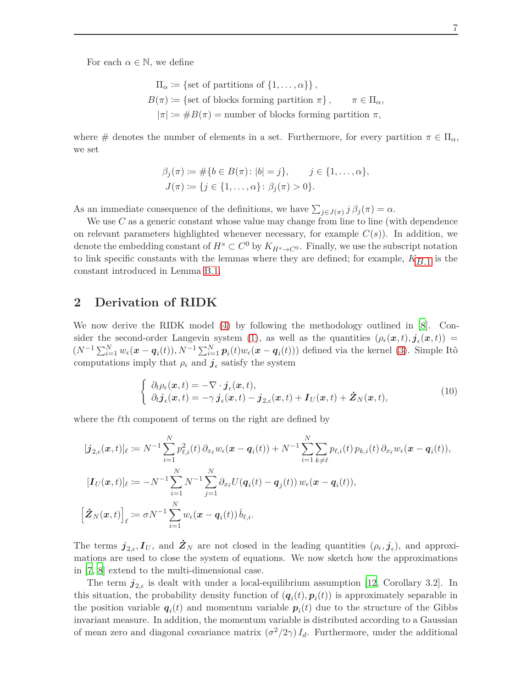For each  $\alpha \in \mathbb{N}$ , we define

$$
\Pi_{\alpha} := \{ \text{set of partitions of } \{1, \ldots, \alpha \} \},
$$
  
\n
$$
B(\pi) := \{ \text{set of blocks forming partition } \pi \}, \qquad \pi \in \Pi_{\alpha},
$$
  
\n
$$
|\pi| := \#B(\pi) = \text{number of blocks forming partition } \pi,
$$

where # denotes the number of elements in a set. Furthermore, for every partition  $\pi \in \Pi_{\alpha}$ , we set

$$
\beta_j(\pi) := \#\{b \in B(\pi) : |b| = j\}, \quad j \in \{1, ..., \alpha\},
$$
  

$$
J(\pi) := \{j \in \{1, ..., \alpha\} : \beta_j(\pi) > 0\}.
$$

As an immediate consequence of the definitions, we have  $\sum_{j\in J(\pi)} j \beta_j(\pi) = \alpha$ .

We use *C* as a generic constant whose value may change from line to line (with dependence on relevant parameters highlighted whenever necessary, for example  $C(s)$ ). In addition, we denote the embedding constant of  $H^s \subset C^0$  by  $K_{H^s \to C^0}$ . Finally, we use the subscript notation to link specific constants with the lemmas where they are defined; for example,  $K_{B,1}$  is the constant introduced in Lemma [B.1.](#page-20-1)

## <span id="page-6-0"></span>**2 Derivation of RIDK**

We now derive the RIDK model [\(4\)](#page-2-0) by following the methodology outlined in [\[8\]](#page-26-4). Con-sider the second-order Langevin system [\(1\)](#page-1-1), as well as the quantities  $(\rho_{\epsilon}(x,t), \dot{j}_{\epsilon}(x,t))$  =  $(N^{-1}\sum_{i=1}^{N}w_{\epsilon}(\boldsymbol{x}-\boldsymbol{q}_i(t)),N^{-1}\sum_{i=1}^{N}\boldsymbol{p}_i(t)w_{\epsilon}(\boldsymbol{x}-\boldsymbol{q}_i(t)))$  defined via the kernel [\(3\)](#page-2-3). Simple Itô computations imply that  $\rho_{\epsilon}$  and  $\mathbf{j}_{\epsilon}$  satisfy the system

<span id="page-6-1"></span>
$$
\begin{cases}\n\partial_t \rho_\epsilon(\mathbf{x},t) = -\nabla \cdot \boldsymbol{j}_\epsilon(\mathbf{x},t), \\
\partial_t \boldsymbol{j}_\epsilon(\mathbf{x},t) = -\gamma \boldsymbol{j}_\epsilon(\mathbf{x},t) - \boldsymbol{j}_{2,\epsilon}(\mathbf{x},t) + \boldsymbol{I}_U(\mathbf{x},t) + \boldsymbol{Z}_N(\mathbf{x},t),\n\end{cases}
$$
\n(10)

where the  $\ell$ <sup>th</sup> component of terms on the right are defined by

$$
[\boldsymbol{j}_{2,\epsilon}(\boldsymbol{x},t)]_{\ell} := N^{-1} \sum_{i=1}^{N} p_{\ell,i}^{2}(t) \, \partial_{x_{\ell}} w_{\epsilon}(\boldsymbol{x} - \boldsymbol{q}_{i}(t)) + N^{-1} \sum_{i=1}^{N} \sum_{k \neq \ell} p_{\ell,i}(t) \, p_{k,i}(t) \, \partial_{x_{\ell}} w_{\epsilon}(\boldsymbol{x} - \boldsymbol{q}_{i}(t)),
$$
\n
$$
[\boldsymbol{I}_{U}(\boldsymbol{x},t)]_{\ell} := -N^{-1} \sum_{i=1}^{N} N^{-1} \sum_{j=1}^{N} \partial_{x_{\ell}} U(\boldsymbol{q}_{i}(t) - \boldsymbol{q}_{j}(t)) w_{\epsilon}(\boldsymbol{x} - \boldsymbol{q}_{i}(t)),
$$
\n
$$
\left[ \boldsymbol{\dot{Z}}_{N}(\boldsymbol{x},t) \right]_{\ell} := \sigma N^{-1} \sum_{i=1}^{N} w_{\epsilon}(\boldsymbol{x} - \boldsymbol{q}_{i}(t)) \, \dot{b}_{\ell,i}.
$$

The terms  $j_{2,\epsilon}, I_U$ , and  $\dot{Z}_N$  are not closed in the leading quantities  $(\rho_{\epsilon}, \dot{j}_{\epsilon})$ , and approximations are used to close the system of equations. We now sketch how the approximations in [\[7](#page-26-3), [8](#page-26-4)] extend to the multi-dimensional case.

The term  $j_{2,\epsilon}$  is dealt with under a local-equilibrium assumption [\[12,](#page-26-7) Corollary 3.2]. In this situation, the probability density function of  $(q_i(t), p_i(t))$  is approximately separable in the position variable  $q_i(t)$  and momentum variable  $p_i(t)$  due to the structure of the Gibbs invariant measure. In addition, the momentum variable is distributed according to a Gaussian of mean zero and diagonal covariance matrix  $(\sigma^2/2\gamma) I_d$ . Furthermore, under the additional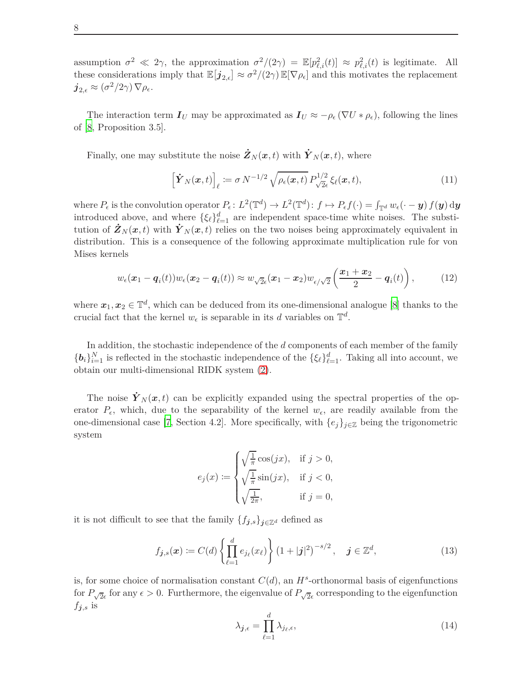assumption  $\sigma^2 \ll 2\gamma$ , the approximation  $\sigma^2/(2\gamma) = \mathbb{E}[p_{\ell,i}^2(t)] \approx p_{\ell,i}^2(t)$  is legitimate. All these considerations imply that  $\mathbb{E}[j_{2,\epsilon}] \approx \sigma^2/(2\gamma) \mathbb{E}[\nabla \rho_{\epsilon}]$  and this motivates the replacement  $\boldsymbol{j}_{2,\epsilon}\approx(\sigma^2/2\gamma)\,\nabla\rho_\epsilon.$ 

The interaction term  $I_U$  may be approximated as  $I_U \approx -\rho_\epsilon (\nabla U * \rho_\epsilon)$ , following the lines of [\[8,](#page-26-4) Proposition 3.5].

Finally, one may substitute the noise  $\dot{Z}_N(x,t)$  with  $\dot{Y}_N(x,t)$ , where

$$
\left[\dot{\boldsymbol{Y}}_{N}(\boldsymbol{x},t)\right]_{\ell} \coloneqq \sigma N^{-1/2} \sqrt{\rho_{\epsilon}(\boldsymbol{x},t)} \, P_{\sqrt{2}\epsilon}^{1/2} \, \xi_{\ell}(\boldsymbol{x},t),\tag{11}
$$

where  $P_{\epsilon}$  is the convolution operator  $P_{\epsilon} : L^2(\mathbb{T}^d) \to L^2(\mathbb{T}^d)$ :  $f \mapsto P_{\epsilon}f(\cdot) = \int_{\mathbb{T}^d} w_{\epsilon}(\cdot - y) f(y) dy$ introduced above, and where  $\{\xi_{\ell}\}_{\ell=1}^d$  are independent space-time white noises. The substitution of  $\dot{Z}_N(x,t)$  with  $\dot{Y}_N(x,t)$  relies on the two noises being approximately equivalent in distribution. This is a consequence of the following approximate multiplication rule for von Mises kernels

$$
w_{\epsilon}(\boldsymbol{x}_1-\boldsymbol{q}_i(t))w_{\epsilon}(\boldsymbol{x}_2-\boldsymbol{q}_i(t)) \approx w_{\sqrt{2}\epsilon}(\boldsymbol{x}_1-\boldsymbol{x}_2)w_{\epsilon/\sqrt{2}}\left(\frac{\boldsymbol{x}_1+\boldsymbol{x}_2}{2}-\boldsymbol{q}_i(t)\right),\tag{12}
$$

where  $x_1, x_2 \in \mathbb{T}^d$ , which can be deduced from its one-dimensional analogue [\[8](#page-26-4)] thanks to the crucial fact that the kernel  $w_{\epsilon}$  is separable in its *d* variables on  $\mathbb{T}^{d}$ .

In addition, the stochastic independence of the *d* components of each member of the family  ${b_i}_{i=1}^N$  is reflected in the stochastic independence of the  ${\{\xi_\ell\}}_{\ell=1}^d$ . Taking all into account, we obtain our multi-dimensional RIDK system [\(2\)](#page-1-0).

The noise  $\dot{Y}_N(x,t)$  can be explicitly expanded using the spectral properties of the operator  $P_{\epsilon}$ , which, due to the separability of the kernel  $w_{\epsilon}$ , are readily available from the one-dimensional case [\[7](#page-26-3), Section 4.2]. More specifically, with  $\{e_j\}_{j\in\mathbb{Z}}$  being the trigonometric system

$$
e_j(x) := \begin{cases} \sqrt{\frac{1}{\pi}} \cos(jx), & \text{if } j > 0, \\ \sqrt{\frac{1}{\pi}} \sin(jx), & \text{if } j < 0, \\ \sqrt{\frac{1}{2\pi}}, & \text{if } j = 0, \end{cases}
$$

it is not difficult to see that the family  ${f_{j,s}}_{j \in \mathbb{Z}^d}$  defined as

$$
f_{\mathbf{j},s}(\mathbf{x}) \coloneqq C(d) \left\{ \prod_{\ell=1}^d e_{j_\ell}(x_\ell) \right\} \left( 1 + |\mathbf{j}|^2 \right)^{-s/2}, \quad \mathbf{j} \in \mathbb{Z}^d,
$$
\n(13)

is, for some choice of normalisation constant  $C(d)$ , an  $H^s$ -orthonormal basis of eigenfunctions for  $P_{\sqrt{2}\epsilon}$  for any  $\epsilon > 0$ . Furthermore, the eigenvalue of  $P_{\sqrt{2}\epsilon}$  corresponding to the eigenfunction  $f_{j,s}$  is

<span id="page-7-0"></span>
$$
\lambda_{j,\epsilon} = \prod_{\ell=1}^d \lambda_{j_\ell,\epsilon},\tag{14}
$$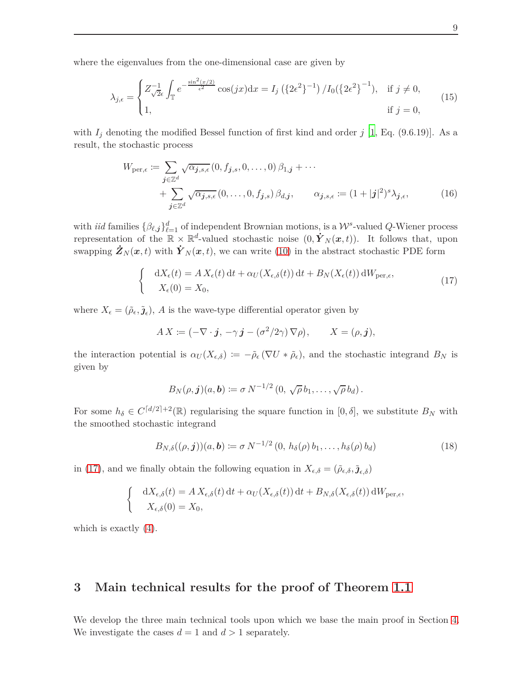where the eigenvalues from the one-dimensional case are given by

$$
\lambda_{j,\epsilon} = \begin{cases} Z_{\sqrt{2}\epsilon}^{-1} \int_{\mathbb{T}} e^{-\frac{\sin^2(x/2)}{\epsilon^2}} \cos(jx) dx = I_j \left( \{ 2\epsilon^2 \}^{-1} \right) / I_0 \left( \{ 2\epsilon^2 \}^{-1} \right), & \text{if } j \neq 0, \\ 1, & \text{if } j = 0, \end{cases}
$$
(15)

with  $I_j$  denoting the modified Bessel function of first kind and order  $j$  [\[1,](#page-26-8) Eq. (9.6.19)]. As a result, the stochastic process

<span id="page-8-3"></span>
$$
W_{\text{per},\epsilon} := \sum_{j \in \mathbb{Z}^d} \sqrt{\alpha_{j,s,\epsilon}} (0, f_{j,s}, 0, \dots, 0) \beta_{1,j} + \dots
$$
  
+ 
$$
\sum_{j \in \mathbb{Z}^d} \sqrt{\alpha_{j,s,\epsilon}} (0, \dots, 0, f_{j,s}) \beta_{d,j}, \qquad \alpha_{j,s,\epsilon} := (1 + |j|^2)^s \lambda_{j,\epsilon}, \qquad (16)
$$

with *iid* families  $\{\beta_{\ell,j}\}_{\ell=1}^d$  of independent Brownian motions, is a  $\mathcal{W}^s$ -valued *Q*-Wiener process representation of the  $\mathbb{R} \times \mathbb{R}^d$ -valued stochastic noise  $(0, \dot{Y}_N(x,t))$ . It follows that, upon swapping  $\dot{\mathbf{Z}}_N(\mathbf{x},t)$  with  $\dot{\mathbf{Y}}_N(\mathbf{x},t)$ , we can write [\(10\)](#page-6-1) in the abstract stochastic PDE form

<span id="page-8-4"></span><span id="page-8-2"></span>
$$
\begin{cases} dX_{\epsilon}(t) = A X_{\epsilon}(t) dt + \alpha_{U}(X_{\epsilon,\delta}(t)) dt + B_{N}(X_{\epsilon}(t)) dW_{\text{per},\epsilon}, \\ X_{\epsilon}(0) = X_{0}, \end{cases}
$$
\n(17)

where  $X_{\epsilon} = (\tilde{\rho}_{\epsilon}, \tilde{\jmath}_{\epsilon}), A$  is the wave-type differential operator given by

$$
AX \coloneqq (-\nabla \cdot \boldsymbol{j}, -\gamma \boldsymbol{j} - (\sigma^2/2\gamma) \nabla \rho), \qquad X = (\rho, \boldsymbol{j}),
$$

the interaction potential is  $\alpha_U(X_{\epsilon,\delta}) := -\tilde{\rho}_{\epsilon}(\nabla U * \tilde{\rho}_{\epsilon})$ , and the stochastic integrand  $B_N$  is given by

<span id="page-8-5"></span>
$$
B_N(\rho, \mathbf{j})(a, \mathbf{b}) \coloneqq \sigma N^{-1/2} (0, \sqrt{\rho} b_1, \ldots, \sqrt{\rho} b_d).
$$

For some  $h_{\delta} \in C^{\lceil d/2 \rceil + 2}(\mathbb{R})$  regularising the square function in  $[0, \delta]$ , we substitute  $B_N$  with the smoothed stochastic integrand

$$
B_{N,\delta}((\rho,\bm{j}))(a,\bm{b}) \coloneqq \sigma N^{-1/2} (0, h_{\delta}(\rho) b_1, \dots, h_{\delta}(\rho) b_d)
$$
(18)

in [\(17\)](#page-8-2), and we finally obtain the following equation in  $X_{\epsilon,\delta} = (\tilde{\rho}_{\epsilon,\delta}, \tilde{\jmath}_{\epsilon,\delta})$ 

$$
\begin{cases} dX_{\epsilon,\delta}(t) = A X_{\epsilon,\delta}(t) dt + \alpha_U(X_{\epsilon,\delta}(t)) dt + B_{N,\delta}(X_{\epsilon,\delta}(t)) dW_{\text{per},\epsilon},\\ X_{\epsilon,\delta}(0) = X_0, \end{cases}
$$

<span id="page-8-0"></span>which is exactly [\(4\)](#page-2-0).

## **3 Main technical results for the proof of Theorem [1.1](#page-2-2)**

<span id="page-8-1"></span>We develop the three main technical tools upon which we base the main proof in Section [4.](#page-17-0) We investigate the cases  $d = 1$  and  $d > 1$  separately.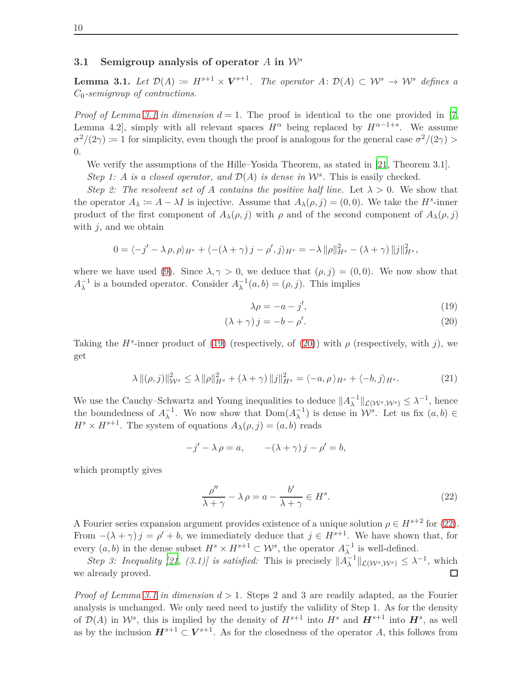#### **3.1 Semigroup analysis of operator** *<sup>A</sup>* **in** <sup>W</sup>*<sup>s</sup>*

<span id="page-9-0"></span>**Lemma 3.1.** Let  $\mathcal{D}(A) := H^{s+1} \times V^{s+1}$ . The operator  $A: \mathcal{D}(A) \subset \mathcal{W}^s \to \mathcal{W}^s$  defines a *C*0*-semigroup of contractions.*

*Proof of Lemma [3.1](#page-9-0) in dimension*  $d = 1$ . The proof is identical to the one provided in [\[7](#page-26-3), Lemma 4.2, simply with all relevant spaces  $H^{\alpha}$  being replaced by  $H^{\alpha-1+s}$ . We assume  $\sigma^2/(2\gamma) := 1$  for simplicity, even though the proof is analogous for the general case  $\sigma^2/(2\gamma)$ 0.

We verify the assumptions of the Hille–Yosida Theorem, as stated in [\[21,](#page-27-8) Theorem 3.1].

*Step 1: A is a closed operator, and*  $\mathcal{D}(A)$  *is dense in*  $\mathcal{W}^s$ . This is easily checked.

*Step 2: The resolvent set of A contains the positive half line.* Let  $\lambda > 0$ . We show that the operator  $A_{\lambda} := A - \lambda I$  is injective. Assume that  $A_{\lambda}(\rho, j) = (0, 0)$ . We take the  $H^s$ -inner product of the first component of  $A_\lambda(\rho, j)$  with  $\rho$  and of the second component of  $A_\lambda(\rho, j)$ with *j*, and we obtain

$$
0 = \langle -j' - \lambda \rho, \rho \rangle_{H^s} + \langle -(\lambda + \gamma) j - \rho', j \rangle_{H^s} = -\lambda ||\rho||_{H^s}^2 - (\lambda + \gamma) ||j||_{H^s}^2,
$$

where we have used [\(9\)](#page-5-0). Since  $\lambda, \gamma > 0$ , we deduce that  $(\rho, j) = (0, 0)$ . We now show that  $A_{\lambda}^{-1}$  is a bounded operator. Consider  $A_{\lambda}^{-1}(a, b) = (\rho, j)$ . This implies

<span id="page-9-2"></span><span id="page-9-1"></span>
$$
\lambda \rho = -a - j',\tag{19}
$$

$$
(\lambda + \gamma) j = -b - \rho'. \tag{20}
$$

Taking the  $H^s$ -inner product of [\(19\)](#page-9-1) (respectively, of [\(20\)](#page-9-2)) with  $\rho$  (respectively, with *j*), we get

$$
\lambda \left\| (\rho, j) \right\|_{\mathcal{W}^s}^2 \le \lambda \left\| \rho \right\|_{H^s}^2 + (\lambda + \gamma) \left\| j \right\|_{H^s}^2 = \langle -a, \rho \rangle_{H^s} + \langle -b, j \rangle_{H^s}.
$$
 (21)

We use the Cauchy–Schwartz and Young inequalities to deduce  $||A_{\lambda}^{-1}||_{\mathcal{L}(\mathcal{W}^s,\mathcal{W}^s)} \leq \lambda^{-1}$ , hence the boundedness of  $A_{\lambda}^{-1}$ . We now show that  $Dom(A_{\lambda}^{-1})$  is dense in  $\mathcal{W}^s$ . Let us fix  $(a, b) \in$  $H^s \times H^{s+1}$ . The system of equations  $A_\lambda(\rho, j) = (a, b)$  reads

$$
-j'-\lambda \rho = a, \qquad -(\lambda + \gamma) j - \rho' = b,
$$

which promptly gives

<span id="page-9-3"></span>
$$
\frac{\rho''}{\lambda + \gamma} - \lambda \rho = a - \frac{b'}{\lambda + \gamma} \in H^s. \tag{22}
$$

A Fourier series expansion argument provides existence of a unique solution  $\rho \in H^{s+2}$  for [\(22\)](#page-9-3). From  $-(\lambda + \gamma) j = \rho' + b$ , we immediately deduce that  $j \in H^{s+1}$ . We have shown that, for every  $(a, b)$  in the dense subset  $H^s \times H^{s+1} \subset \mathcal{W}^s$ , the operator  $A_{\lambda}^{-1}$  is well-defined.

*Step 3: Inequality* [\[21](#page-27-8), (3.1)] is satisfied: This is precisely  $||A_{\lambda}^{-1}||_{\mathcal{L}(W^s, \mathcal{W}^s)} \leq \lambda^{-1}$ , which we already proved. □

*Proof of Lemma [3.1](#page-9-0) in dimension d >* 1*.* Steps 2 and 3 are readily adapted, as the Fourier analysis is unchanged. We only need need to justify the validity of Step 1. As for the density of  $\mathcal{D}(A)$  in  $\mathcal{W}^s$ , this is implied by the density of  $H^{s+1}$  into  $H^s$  and  $H^{s+1}$  into  $H^s$ , as well as by the inclusion  $H^{s+1} \subset V^{s+1}$ . As for the closedness of the operator *A*, this follows from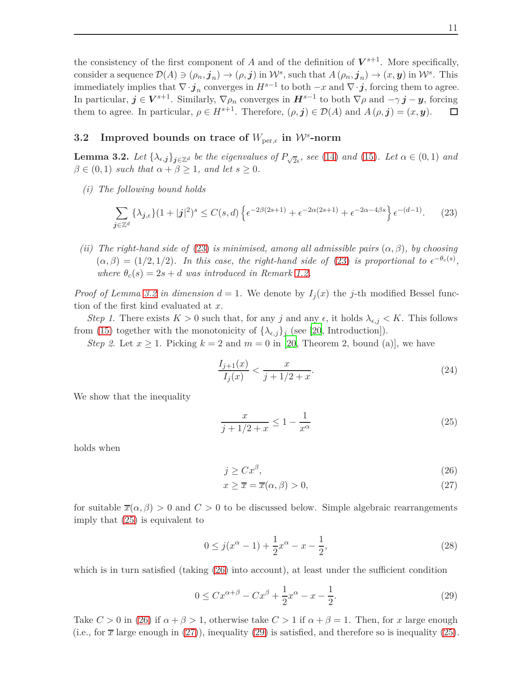the consistency of the first component of *A* and of the definition of  $V^{s+1}$ . More specifically, consider a sequence  $\mathcal{D}(A) \ni (\rho_n, \mathbf{j}_n) \to (\rho, \mathbf{j})$  in  $\mathcal{W}^s$ , such that  $A(\rho_n, \mathbf{j}_n) \to (x, \mathbf{y})$  in  $\mathcal{W}^s$ . This immediately implies that  $\nabla \cdot \mathbf{j}_n$  converges in  $H^{s-1}$  to both  $-x$  and  $\nabla \cdot \mathbf{j}$ , forcing them to agree. In particular,  $j \in V^{s+1}$ . Similarly,  $\nabla \rho_n$  converges in  $H^{s-1}$  to both  $\nabla \rho$  and  $-\gamma j - y$ , forcing them to agree. In particular,  $\rho \in H^{s+1}$ . Therefore,  $(\rho, j) \in \mathcal{D}(A)$  and  $A(\rho, j) = (x, y)$ . □

# <span id="page-10-0"></span>**3.2** Improved bounds on trace of  $W_{\text{per},\epsilon}$  in  $\mathcal{W}^s$ -norm

<span id="page-10-1"></span>**Lemma 3.2.** Let  $\{\lambda_{\epsilon,j}\}_{j\in\mathbb{Z}^d}$  be the eigenvalues of  $P_{\sqrt{2}\epsilon}$ , see [\(14\)](#page-7-0) and [\(15\)](#page-8-3). Let  $\alpha \in (0,1)$  and  $\beta \in (0,1)$  *such that*  $\alpha + \beta \geq 1$ *, and let*  $s \geq 0$ *.* 

*(i) The following bound holds*

$$
\sum_{j \in \mathbb{Z}^d} {\lambda_{j,\epsilon}} (1+|j|^2)^s \le C(s,d) \left\{ \epsilon^{-2\beta(2s+1)} + \epsilon^{-2\alpha(2s+1)} + \epsilon^{-2\alpha-4\beta s} \right\} \epsilon^{-(d-1)}.
$$
 (23)

<span id="page-10-8"></span>*(ii)* The right-hand side of [\(23\)](#page-10-2) is minimised, among all admissible pairs  $(\alpha, \beta)$ *, by choosing*  $(\alpha, \beta) = (1/2, 1/2)$ *. In this case, the right-hand side of* [\(23\)](#page-10-2) *is proportional to*  $\epsilon^{-\theta_c(s)}$ *, where*  $\theta_c(s) = 2s + d$  *was introduced in Remark [1.2.](#page-3-0)* 

*Proof of Lemma [3.2](#page-10-1) in dimension*  $d = 1$ . We denote by  $I_i(x)$  the *j*-th modified Bessel function of the first kind evaluated at *x*.

*Step 1*. There exists  $K > 0$  such that, for any *j* and any  $\epsilon$ , it holds  $\lambda_{\epsilon,j} < K$ . This follows from [\(15\)](#page-8-3) together with the monotonicity of  $\{\lambda_{\epsilon,j}\}_j$  (see [\[20](#page-27-9), Introduction]).

*Step 2.* Let  $x \geq 1$ . Picking  $k = 2$  and  $m = 0$  in [\[20](#page-27-9), Theorem 2, bound (a)], we have

<span id="page-10-7"></span><span id="page-10-2"></span>
$$
\frac{I_{j+1}(x)}{I_j(x)} < \frac{x}{j+1/2+x}.\tag{24}
$$

We show that the inequality

<span id="page-10-3"></span>
$$
\frac{x}{j+1/2+x} \le 1 - \frac{1}{x^{\alpha}}
$$
\n(25)

holds when

<span id="page-10-5"></span><span id="page-10-4"></span>
$$
j \ge C x^{\beta},\tag{26}
$$

<span id="page-10-6"></span>
$$
x \ge \overline{x} = \overline{x}(\alpha, \beta) > 0,\tag{27}
$$

for suitable  $\overline{x}(\alpha, \beta) > 0$  and  $C > 0$  to be discussed below. Simple algebraic rearrangements imply that [\(25\)](#page-10-3) is equivalent to

$$
0 \le j(x^{\alpha} - 1) + \frac{1}{2}x^{\alpha} - x - \frac{1}{2},
$$
\n(28)

which is in turn satisfied (taking  $(26)$  into account), at least under the sufficient condition

$$
0 \le C x^{\alpha + \beta} - C x^{\beta} + \frac{1}{2} x^{\alpha} - x - \frac{1}{2}.
$$
 (29)

Take  $C > 0$  in [\(26\)](#page-10-4) if  $\alpha + \beta > 1$ , otherwise take  $C > 1$  if  $\alpha + \beta = 1$ . Then, for *x* large enough (i.e., for  $\bar{x}$  large enough in [\(27\)](#page-10-5)), inequality [\(29\)](#page-10-6) is satisfied, and therefore so is inequality [\(25\)](#page-10-3).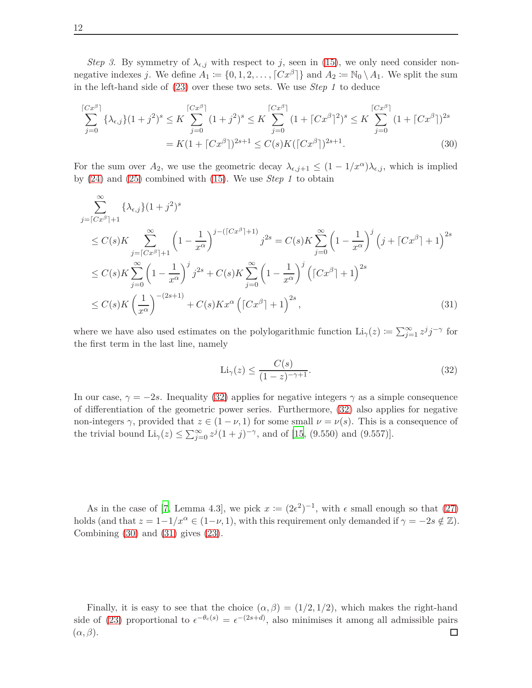*Step 3*. By symmetry of  $\lambda_{\epsilon,j}$  with respect to *j*, seen in [\(15\)](#page-8-3), we only need consider nonnegative indexes *j*. We define  $A_1 := \{0, 1, 2, \ldots, \lceil Cx^{\beta} \rceil\}$  and  $A_2 := \mathbb{N}_0 \setminus A_1$ . We split the sum in the left-hand side of [\(23\)](#page-10-2) over these two sets. We use *Step 1* to deduce

$$
\sum_{j=0}^{\lceil Cx^{\beta} \rceil} {\lambda_{\epsilon,j}}(1+j^2)^s \le K \sum_{j=0}^{\lceil Cx^{\beta} \rceil} (1+j^2)^s \le K \sum_{j=0}^{\lceil Cx^{\beta} \rceil} (1+\lceil Cx^{\beta} \rceil^2)^s \le K \sum_{j=0}^{\lceil Cx^{\beta} \rceil} (1+\lceil Cx^{\beta} \rceil)^{2s}
$$
  
=  $K(1+\lceil Cx^{\beta} \rceil)^{2s+1} \le C(s)K(\lceil Cx^{\beta} \rceil)^{2s+1}.$  (30)

For the sum over  $A_2$ , we use the geometric decay  $\lambda_{\epsilon,j+1} \leq (1 - 1/x^{\alpha})\lambda_{\epsilon,j}$ , which is implied by [\(24\)](#page-10-7) and [\(25\)](#page-10-3) combined with [\(15\)](#page-8-3). We use *Step 1* to obtain

$$
\sum_{j=\lceil Cx^{\beta}\rceil+1}^{\infty} \{\lambda_{\epsilon,j}\}(1+j^2)^s
$$
\n
$$
\leq C(s)K \sum_{j=\lceil Cx^{\beta}\rceil+1}^{\infty} \left(1-\frac{1}{x^{\alpha}}\right)^{j-(\lceil Cx^{\beta}\rceil+1)} j^{2s} = C(s)K \sum_{j=0}^{\infty} \left(1-\frac{1}{x^{\alpha}}\right)^j \left(j+\lceil Cx^{\beta}\rceil+1\right)^{2s}
$$
\n
$$
\leq C(s)K \sum_{j=0}^{\infty} \left(1-\frac{1}{x^{\alpha}}\right)^j j^{2s} + C(s)K \sum_{j=0}^{\infty} \left(1-\frac{1}{x^{\alpha}}\right)^j \left(\lceil Cx^{\beta}\rceil+1\right)^{2s}
$$
\n
$$
\leq C(s)K \left(\frac{1}{x^{\alpha}}\right)^{-(2s+1)} + C(s)Kx^{\alpha} \left(\lceil Cx^{\beta}\rceil+1\right)^{2s},\tag{31}
$$

where we have also used estimates on the polylogarithmic function  $\text{Li}_{\gamma}(z) \coloneqq \sum_{j=1}^{\infty} z^{j}j^{-\gamma}$  for the first term in the last line, namely

<span id="page-11-2"></span><span id="page-11-1"></span><span id="page-11-0"></span>
$$
\text{Li}_{\gamma}(z) \le \frac{C(s)}{(1-z)^{-\gamma+1}}.\tag{32}
$$

In our case,  $\gamma = -2s$ . Inequality [\(32\)](#page-11-0) applies for negative integers  $\gamma$  as a simple consequence of differentiation of the geometric power series. Furthermore, [\(32\)](#page-11-0) also applies for negative non-integers  $\gamma$ , provided that  $z \in (1 - \nu, 1)$  for some small  $\nu = \nu(s)$ . This is a consequence of the trivial bound  $\text{Li}_{\gamma}(z) \le \sum_{j=0}^{\infty} z^{j} (1+j)^{-\gamma}$ , and of [\[15,](#page-27-10) (9.550) and (9.557)].

As in the case of [\[7,](#page-26-3) Lemma 4.3], we pick  $x := (2\epsilon^2)^{-1}$ , with  $\epsilon$  small enough so that [\(27\)](#page-10-5) holds (and that  $z = 1-1/x^{\alpha} \in (1-\nu, 1)$ , with this requirement only demanded if  $\gamma = -2s \notin \mathbb{Z}$ ). Combining  $(30)$  and  $(31)$  gives  $(23)$ .

Finally, it is easy to see that the choice  $(\alpha, \beta) = (1/2, 1/2)$ , which makes the right-hand side of [\(23\)](#page-10-2) proportional to  $\epsilon^{-\theta_c(s)} = \epsilon^{-(2s+d)}$ , also minimises it among all admissible pairs (*α, β*).囗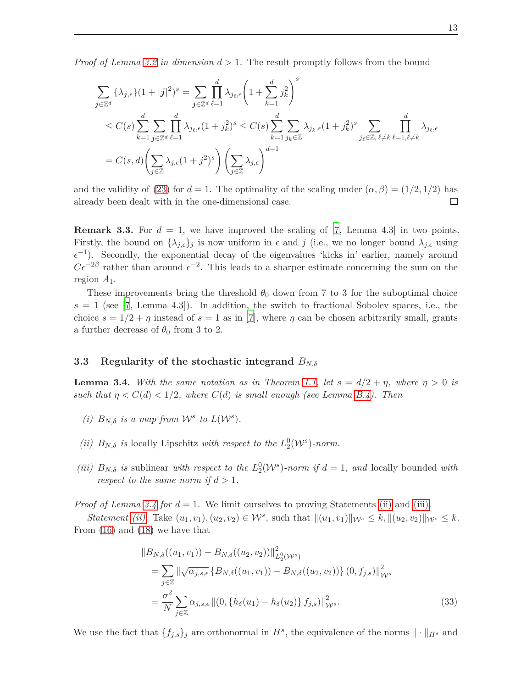*Proof of Lemma [3.2](#page-10-1) in dimension d >* 1*.* The result promptly follows from the bound

$$
\sum_{\mathbf{j}\in\mathbb{Z}^d} {\lambda_{\mathbf{j},\epsilon}} (1+|\mathbf{j}|^2)^s = \sum_{\mathbf{j}\in\mathbb{Z}^d} \prod_{\ell=1}^d \lambda_{j_\ell,\epsilon} \left(1+\sum_{k=1}^d j_k^2\right)^s
$$
\n
$$
\leq C(s) \sum_{k=1}^d \sum_{\mathbf{j}\in\mathbb{Z}^d} \prod_{\ell=1}^d \lambda_{j_\ell,\epsilon} (1+j_k^2)^s \leq C(s) \sum_{k=1}^d \sum_{j_k\in\mathbb{Z}} \lambda_{j_k,\epsilon} (1+j_k^2)^s \sum_{j_\ell\in\mathbb{Z},\ell\neq k} \prod_{\ell=1,\ell\neq k}^d \lambda_{j_\ell,\epsilon}
$$
\n
$$
= C(s,d) \left(\sum_{j\in\mathbb{Z}} \lambda_{j,\epsilon} (1+j^2)^s\right) \left(\sum_{j\in\mathbb{Z}} \lambda_{j,\epsilon}\right)^{d-1}
$$

and the validity of [\(23\)](#page-10-2) for  $d = 1$ . The optimality of the scaling under  $(\alpha, \beta) = (1/2, 1/2)$  has already been dealt with in the one-dimensional case. 口

**Remark 3.3.** For  $d = 1$ , we have improved the scaling of [\[7](#page-26-3), Lemma 4.3] in two points. Firstly, the bound on  $\{\lambda_{j,\epsilon}\}_j$  is now uniform in  $\epsilon$  and  $j$  (i.e., we no longer bound  $\lambda_{j,\epsilon}$  using  $\epsilon^{-1}$ ). Secondly, the exponential decay of the eigenvalues 'kicks in' earlier, namely around  $C\epsilon^{-2\beta}$  rather than around  $\epsilon^{-2}$ . This leads to a sharper estimate concerning the sum on the region *A*1.

These improvements bring the threshold  $\theta_0$  down from 7 to 3 for the suboptimal choice  $s = 1$  (see [\[7,](#page-26-3) Lemma 4.3]). In addition, the switch to fractional Sobolev spaces, i.e., the choice  $s = 1/2 + \eta$  instead of  $s = 1$  as in [\[7\]](#page-26-3), where  $\eta$  can be chosen arbitrarily small, grants a further decrease of  $\theta_0$  from 3 to 2.

#### <span id="page-12-0"></span>**3.3 Regularity of the stochastic integrand** *BN,δ*

<span id="page-12-1"></span>**Lemma 3.4.** With the same notation as in Theorem [1.1,](#page-2-2) let  $s = d/2 + \eta$ , where  $\eta > 0$  is *such that*  $\eta < C(d) < 1/2$ , where  $C(d)$  *is small enough (see Lemma [B.4\)](#page-22-0). Then* 

- <span id="page-12-2"></span>*(i)*  $B_{N,\delta}$  *is a map from*  $\mathcal{W}^s$  *to*  $L(\mathcal{W}^s)$ *.*
- <span id="page-12-3"></span>*(ii)*  $B_{N,\delta}$  *is* locally Lipschitz *with respect to the*  $L_2^0(\mathcal{W}^s)$ *-norm.*
- *(iii)*  $B_{N,\delta}$  *is* sublinear *with respect to the*  $L_2^0(\mathcal{W}^s)$ *-norm if*  $d = 1$ *, and* locally bounded *with respect to the same norm if*  $d > 1$ *.*

*Proof of Lemma [3.4](#page-12-1) for d* = 1*.* We limit ourselves to proving Statements [\(ii\)](#page-12-2) and [\(iii\).](#page-12-3)

*Statement (ii)*. Take  $(u_1, v_1)$ ,  $(u_2, v_2) \in \mathcal{W}^s$ , such that  $||(u_1, v_1)||_{\mathcal{W}^s} \leq k$ ,  $||(u_2, v_2)||_{\mathcal{W}^s} \leq k$ . From [\(16\)](#page-8-4) and [\(18\)](#page-8-5) we have that

<span id="page-12-4"></span>
$$
||B_{N,\delta}((u_1, v_1)) - B_{N,\delta}((u_2, v_2))||_{L_2^0(\mathcal{W}^s)}^2
$$
  
= 
$$
\sum_{j\in\mathbb{Z}} ||\sqrt{\alpha_{j,s,\epsilon}} \{B_{N,\delta}((u_1, v_1)) - B_{N,\delta}((u_2, v_2))\} (0, f_{j,s})||_{\mathcal{W}^s}^2
$$
  
= 
$$
\frac{\sigma^2}{N} \sum_{j\in\mathbb{Z}} \alpha_{j,s,\epsilon} ||(0, \{h_\delta(u_1) - h_\delta(u_2)\} f_{j,s})||_{\mathcal{W}^s}^2.
$$
 (33)

We use the fact that  $\{f_{j,s}\}_j$  are orthonormal in  $H^s$ , the equivalence of the norms  $\|\cdot\|_{H^s}$  and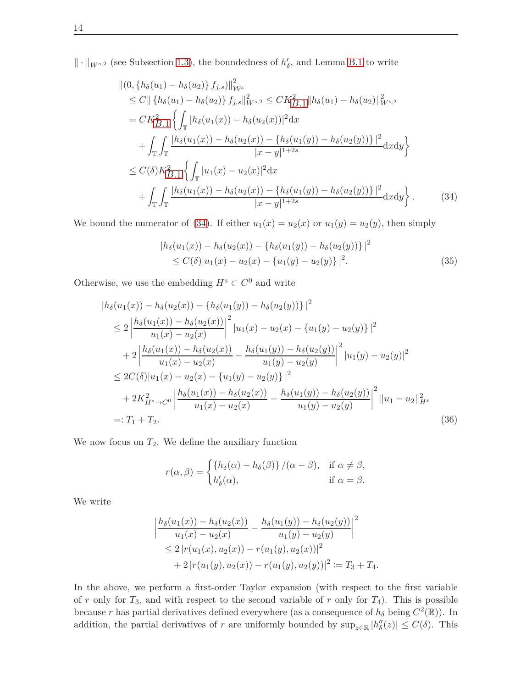$\|\cdot\|_{W^{s,2}}$  (see Subsection [1.3\)](#page-5-1), the boundedness of  $h'_{\delta}$ , and Lemma [B.1](#page-20-1) to write

$$
\begin{split}\n\|(0, \{h_{\delta}(u_{1}) - h_{\delta}(u_{2})\} f_{j,s})\|_{\mathcal{W}^{s}}^{2} \\
&\leq C \|\left\{h_{\delta}(u_{1}) - h_{\delta}(u_{2})\right\} f_{j,s}\|_{\mathcal{W}^{s,2}}^{2} \leq C K_{B.1}^{2} \|h_{\delta}(u_{1}) - h_{\delta}(u_{2})\|_{\mathcal{W}^{s,2}}^{2} \\
&= C K_{B.1}^{2} \left\{\int_{\mathbb{T}} |h_{\delta}(u_{1}(x)) - h_{\delta}(u_{2}(x))|^{2} \mathrm{d}x \right. \\
&\quad \left. + \int_{\mathbb{T}} \int_{\mathbb{T}} \frac{|h_{\delta}(u_{1}(x)) - h_{\delta}(u_{2}(x)) - \{h_{\delta}(u_{1}(y)) - h_{\delta}(u_{2}(y))\}|^{2}}{|x - y|^{1 + 2s}} \mathrm{d}x \mathrm{d}y \right\} \\
&\leq C(\delta) K_{B.1}^{2} \left\{\int_{\mathbb{T}} |u_{1}(x) - u_{2}(x)|^{2} \mathrm{d}x \right. \\
&\quad \left. + \int_{\mathbb{T}} \int_{\mathbb{T}} \frac{|h_{\delta}(u_{1}(x)) - h_{\delta}(u_{2}(x)) - \{h_{\delta}(u_{1}(y)) - h_{\delta}(u_{2}(y))\}|^{2}}{|x - y|^{1 + 2s}} \mathrm{d}x \mathrm{d}y \right\}.\n\end{split} \tag{34}
$$

We bound the numerator of [\(34\)](#page-13-0). If either  $u_1(x) = u_2(x)$  or  $u_1(y) = u_2(y)$ , then simply

<span id="page-13-1"></span><span id="page-13-0"></span>
$$
|h_{\delta}(u_1(x)) - h_{\delta}(u_2(x)) - \{h_{\delta}(u_1(y)) - h_{\delta}(u_2(y))\}|^2
$$
  
\n
$$
\leq C(\delta)|u_1(x) - u_2(x) - \{u_1(y) - u_2(y)\}|^2.
$$
\n(35)

Otherwise, we use the embedding  $H^s \subset C^0$  and write

$$
|h_{\delta}(u_{1}(x)) - h_{\delta}(u_{2}(x)) - \{h_{\delta}(u_{1}(y)) - h_{\delta}(u_{2}(y))\}|^{2}
$$
  
\n
$$
\leq 2 \left| \frac{h_{\delta}(u_{1}(x)) - h_{\delta}(u_{2}(x))}{u_{1}(x) - u_{2}(x)} \right|^{2} |u_{1}(x) - u_{2}(x) - \{u_{1}(y) - u_{2}(y)\}|^{2}
$$
  
\n
$$
+ 2 \left| \frac{h_{\delta}(u_{1}(x)) - h_{\delta}(u_{2}(x))}{u_{1}(x) - u_{2}(x)} - \frac{h_{\delta}(u_{1}(y)) - h_{\delta}(u_{2}(y))}{u_{1}(y) - u_{2}(y)} \right|^{2} |u_{1}(y) - u_{2}(y)|^{2}
$$
  
\n
$$
\leq 2C(\delta)|u_{1}(x) - u_{2}(x) - \{u_{1}(y) - u_{2}(y)\}|^{2}
$$
  
\n
$$
+ 2K_{H^{s} \to C^{0}}^{2} \left| \frac{h_{\delta}(u_{1}(x)) - h_{\delta}(u_{2}(x))}{u_{1}(x) - u_{2}(x)} - \frac{h_{\delta}(u_{1}(y)) - h_{\delta}(u_{2}(y))}{u_{1}(y) - u_{2}(y)} \right|^{2} ||u_{1} - u_{2}||_{H^{s}}^{2}
$$
  
\n=:  $T_{1} + T_{2}$ . (36)

We now focus on  $T_2$ . We define the auxiliary function

<span id="page-13-2"></span>
$$
r(\alpha, \beta) = \begin{cases} \{h_{\delta}(\alpha) - h_{\delta}(\beta)\} / (\alpha - \beta), & \text{if } \alpha \neq \beta, \\ h'_{\delta}(\alpha), & \text{if } \alpha = \beta. \end{cases}
$$

We write

$$
\left| \frac{h_{\delta}(u_1(x)) - h_{\delta}(u_2(x))}{u_1(x) - u_2(x)} - \frac{h_{\delta}(u_1(y)) - h_{\delta}(u_2(y))}{u_1(y) - u_2(y)} \right|^2
$$
  
\n
$$
\leq 2 \left| r(u_1(x), u_2(x)) - r(u_1(y), u_2(x)) \right|^2
$$
  
\n
$$
+ 2 \left| r(u_1(y), u_2(x)) - r(u_1(y), u_2(y)) \right|^2 := T_3 + T_4.
$$

In the above, we perform a first-order Taylor expansion (with respect to the first variable of *r* only for  $T_3$ , and with respect to the second variable of *r* only for  $T_4$ ). This is possible because *r* has partial derivatives defined everywhere (as a consequence of  $h_\delta$  being  $C^2(\mathbb{R})$ ). In addition, the partial derivatives of *r* are uniformly bounded by  $\sup_{z\in\mathbb{R}}|h''_{\delta}(z)| \leq C(\delta)$ . This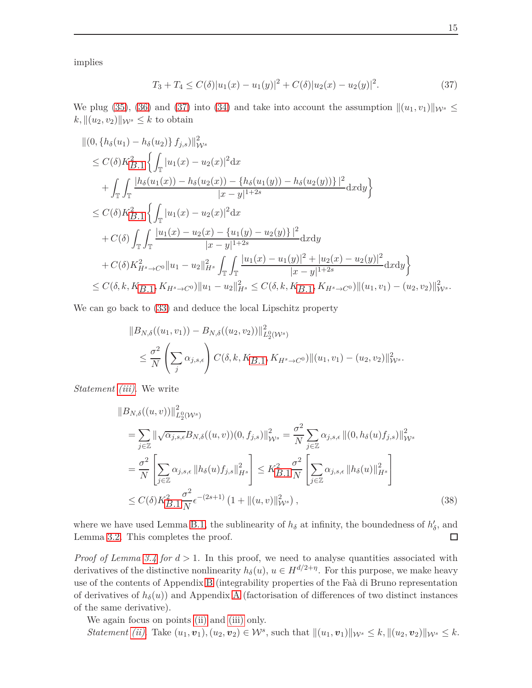implies

<span id="page-14-0"></span>
$$
T_3 + T_4 \le C(\delta) |u_1(x) - u_1(y)|^2 + C(\delta) |u_2(x) - u_2(y)|^2. \tag{37}
$$

We plug [\(35\)](#page-13-1), [\(36\)](#page-13-2) and [\(37\)](#page-14-0) into [\(34\)](#page-13-0) and take into account the assumption  $\|(u_1, v_1)\|_{W^s} \leq$  $k, \|(u_2, v_2)\|_{\mathcal{W}^s} \leq k$  to obtain

$$
\begin{split}\n&\|(0, \{h_{\delta}(u_{1}) - h_{\delta}(u_{2})\} f_{j,s})\|_{\mathcal{W}^{s}}^{2} \\
&\leq C(\delta)K_{B.1}^{2} \left\{ \int_{\mathbb{T}} |u_{1}(x) - u_{2}(x)|^{2} dx \right. \\
&\left. + \int_{\mathbb{T}} \int_{\mathbb{T}} \frac{|h_{\delta}(u_{1}(x)) - h_{\delta}(u_{2}(x)) - \{h_{\delta}(u_{1}(y)) - h_{\delta}(u_{2}(y))\}|^{2}}{|x - y|^{1 + 2s}} dx dy \right\} \\
&\leq C(\delta)K_{B.1}^{2} \left\{ \int_{\mathbb{T}} |u_{1}(x) - u_{2}(x)|^{2} dx \right. \\
&\left. + C(\delta) \int_{\mathbb{T}} \int_{\mathbb{T}} \frac{|u_{1}(x) - u_{2}(x) - \{u_{1}(y) - u_{2}(y)\}|^{2}}{|x - y|^{1 + 2s}} dx dy \right. \\
&\left. + C(\delta)K_{H^{s} \to C^{0}}^{2} \|u_{1} - u_{2}\|_{H^{s}}^{2} \int_{\mathbb{T}} \int_{\mathbb{T}} \frac{|u_{1}(x) - u_{1}(y)|^{2} + |u_{2}(x) - u_{2}(y)|^{2}}{|x - y|^{1 + 2s}} dx dy \right\} \\
&\leq C(\delta, k, K_{B.1}, K_{H^{s} \to C^{0}}) \|u_{1} - u_{2}\|_{H^{s}}^{2} \leq C(\delta, k, K_{B.1}, K_{H^{s} \to C^{0}}) \| (u_{1}, v_{1}) - (u_{2}, v_{2}) \|_{\mathcal{W}^{s}}^{2}.\n\end{split}
$$

We can go back to  $(33)$  and deduce the local Lipschitz property

$$
||B_{N,\delta}((u_1, v_1)) - B_{N,\delta}((u_2, v_2))||_{L_2^0(W^s)}^2
$$
  
 
$$
\leq \frac{\sigma^2}{N} \left( \sum_j \alpha_{j,s,\epsilon} \right) C(\delta, k, K_{B,1}, K_{H^s \to C^0}) || (u_1, v_1) - (u_2, v_2) ||_{W^s}^2.
$$

*Statement [\(iii\)](#page-12-3)*. We write

$$
\|B_{N,\delta}((u,v))\|_{L_2^0(W^s)}^2
$$
\n
$$
= \sum_{j\in\mathbb{Z}} \|\sqrt{\alpha_{j,s,\epsilon}} B_{N,\delta}((u,v))(0,f_{j,s})\|_{\mathcal{W}^s}^2 = \frac{\sigma^2}{N} \sum_{j\in\mathbb{Z}} \alpha_{j,s,\epsilon} \|(0,h_{\delta}(u)f_{j,s})\|_{\mathcal{W}^s}^2
$$
\n
$$
= \frac{\sigma^2}{N} \left[ \sum_{j\in\mathbb{Z}} \alpha_{j,s,\epsilon} \|h_{\delta}(u)f_{j,s}\|_{H^s}^2 \right] \leq K_{B,1}^2 \frac{\sigma^2}{N} \left[ \sum_{j\in\mathbb{Z}} \alpha_{j,s,\epsilon} \|h_{\delta}(u)\|_{H^s}^2 \right]
$$
\n
$$
\leq C(\delta) K_{B,1}^2 \frac{\sigma^2}{N} \epsilon^{-(2s+1)} \left(1 + \|(u,v)\|_{\mathcal{W}^s}^2\right),
$$
\n(38)

where we have used Lemma [B.1,](#page-20-1) the sublinearity of  $h_{\delta}$  at infinity, the boundedness of  $h'_{\delta}$ , and Lemma [3.2.](#page-10-1) This completes the proof.  $\Box$ 

*Proof of Lemma [3.4](#page-12-1) for*  $d > 1$ . In this proof, we need to analyse quantities associated with derivatives of the distinctive nonlinearity  $h_{\delta}(u)$ ,  $u \in H^{d/2+\eta}$ . For this purpose, we make heavy use of the contents of Appendix [B](#page-20-0) (integrability properties of the Faà di Bruno representation of derivatives of  $h_\delta(u)$ ) and [A](#page-19-0)ppendix A (factorisation of differences of two distinct instances of the same derivative).

We again focus on points [\(ii\)](#page-12-2) and [\(iii\)](#page-12-3) only.

Statement [\(ii\)](#page-12-2). Take  $(u_1, v_1), (u_2, v_2) \in \mathcal{W}^s$ , such that  $||(u_1, v_1)||_{\mathcal{W}^s} \le k, ||(u_2, v_2)||_{\mathcal{W}^s} \le k$ .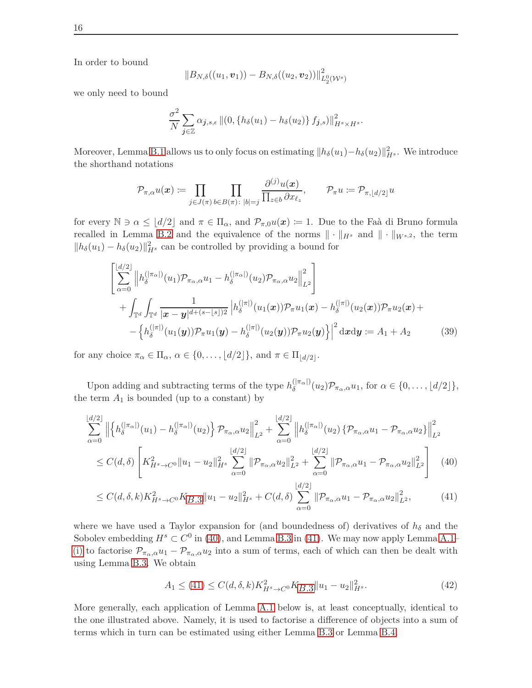In order to bound

$$
\|B_{N,\delta}((u_1,{\boldsymbol v}_1))-B_{N,\delta}((u_2,{\boldsymbol v}_2))\|_{L^0_2({\mathcal W}^s)}^2
$$

we only need to bound

$$
\frac{\sigma^2}{N} \sum_{\mathbf{j} \in \mathbb{Z}} \alpha_{\mathbf{j},s,\epsilon} || (0, \{ h_\delta(u_1) - h_\delta(u_2) \} f_{\mathbf{j},s}) ||^2_{H^s \times H^s}.
$$

Moreover, Lemma [B.1](#page-20-1) allows us to only focus on estimating  $||h_\delta(u_1) - h_\delta(u_2)||_{H^s}^2$ . We introduce the shorthand notations

<span id="page-15-3"></span>
$$
\mathcal{P}_{\pi,\alpha}u(\boldsymbol{x})\coloneqq\prod_{j\in J(\pi)}\prod_{b\in B(\pi):\;|b|=j}\frac{\partial^{(j)}u(\boldsymbol{x})}{\prod_{z\in b}\partial x_{\ell_z}},\qquad \mathcal{P}_{\pi}u\coloneqq\mathcal{P}_{\pi,\lfloor d/2\rfloor}u
$$

for every  $\mathbb{N} \ni \alpha \leq \lfloor d/2 \rfloor$  and  $\pi \in \Pi_{\alpha}$ , and  $\mathcal{P}_{\pi,0}u(x) := 1$ . Due to the Faà di Bruno formula recalled in Lemma [B.2](#page-20-2) and the equivalence of the norms  $\|\cdot\|_{H^s}$  and  $\|\cdot\|_{W^{s,2}}$ , the term  $||h_\delta(u_1) - h_\delta(u_2)||_{H^s}^2$  can be controlled by providing a bound for

$$
\begin{aligned}\n&\left[\sum_{\alpha=0}^{\lfloor d/2 \rfloor} \left\| h_{\delta}^{(|\pi_{\alpha}|)}(u_{1}) \mathcal{P}_{\pi_{\alpha},\alpha} u_{1} - h_{\delta}^{(|\pi_{\alpha}|)}(u_{2}) \mathcal{P}_{\pi_{\alpha},\alpha} u_{2}\right\|_{L^{2}}^{2}\right] \\
&+ \int_{\mathbb{T}^{d}} \int_{\mathbb{T}^{d}} \frac{1}{|\mathbf{x} - \mathbf{y}|^{d + (s - \lfloor s \rfloor)2}} \left| h_{\delta}^{(|\pi|)}(u_{1}(\mathbf{x})) \mathcal{P}_{\pi} u_{1}(\mathbf{x}) - h_{\delta}^{(|\pi|)}(u_{2}(\mathbf{x})) \mathcal{P}_{\pi} u_{2}(\mathbf{x}) + \right. \\
&\left. - \left\{ h_{\delta}^{(|\pi|)}(u_{1}(\mathbf{y})) \mathcal{P}_{\pi} u_{1}(\mathbf{y}) - h_{\delta}^{(|\pi|)}(u_{2}(\mathbf{y})) \mathcal{P}_{\pi} u_{2}(\mathbf{y}) \right\} \right|^{2} \mathrm{d} \mathbf{x} \mathrm{d} \mathbf{y} := A_{1} + A_{2} \qquad (39)\n\end{aligned}
$$

for any choice  $\pi_{\alpha} \in \Pi_{\alpha}, \, \alpha \in \{0, \ldots, \lfloor d/2 \rfloor\},\,$  and  $\pi \in \Pi_{\lfloor d/2 \rfloor}$ .

Upon adding and subtracting terms of the type  $h_{\delta}^{(|\pi_{\alpha}|)}(u_2)\mathcal{P}_{\pi_{\alpha},\alpha}u_1$ , for  $\alpha \in \{0,\ldots,\lfloor d/2 \rfloor\}$ , the term  $A_1$  is bounded (up to a constant) by

$$
\sum_{\alpha=0}^{\lfloor d/2 \rfloor} \left\| \left\{ h_{\delta}^{(|\pi_{\alpha}|)}(u_1) - h_{\delta}^{(|\pi_{\alpha}|)}(u_2) \right\} \mathcal{P}_{\pi_{\alpha},\alpha} u_2 \right\|_{L^2}^2 + \sum_{\alpha=0}^{\lfloor d/2 \rfloor} \left\| h_{\delta}^{(|\pi_{\alpha}|)}(u_2) \left\{ \mathcal{P}_{\pi_{\alpha},\alpha} u_1 - \mathcal{P}_{\pi_{\alpha},\alpha} u_2 \right\} \right\|_{L^2}^2
$$
  
 
$$
\leq C(d,\delta) \left[ K_{H^s \to C^0}^2 \|u_1 - u_2\|_{H^s}^2 \sum_{\alpha=0}^{\lfloor d/2 \rfloor} \|\mathcal{P}_{\pi_{\alpha},\alpha} u_2\|_{L^2}^2 + \sum_{\alpha=0}^{\lfloor d/2 \rfloor} \|\mathcal{P}_{\pi_{\alpha},\alpha} u_1 - \mathcal{P}_{\pi_{\alpha},\alpha} u_2\|_{L^2}^2 \right] (40)
$$

$$
\leq C(d,\delta,k)K_{H^s \to C^0}^2 K_{B.3} \|u_1 - u_2\|_{H^s}^2 + C(d,\delta) \sum_{\alpha=0}^{\lfloor d/2 \rfloor} \|\mathcal{P}_{\pi_\alpha,\alpha} u_1 - \mathcal{P}_{\pi_\alpha,\alpha} u_2\|_{L^2}^2,\tag{41}
$$

where we have used a Taylor expansion for (and boundedness of) derivatives of  $h_{\delta}$  and the Sobolev embedding  $H^s \subset C^0$  in [\(40\)](#page-15-0), and Lemma [B.3](#page-21-0) in [\(41\)](#page-15-1). We may now apply Lemma [A.1–](#page-19-1) [\(i\)](#page-19-2) to factorise  $\mathcal{P}_{\pi_{\alpha},\alpha}u_1 - \mathcal{P}_{\pi_{\alpha},\alpha}u_2$  into a sum of terms, each of which can then be dealt with using Lemma [B.3.](#page-21-0) We obtain

<span id="page-15-2"></span><span id="page-15-1"></span><span id="page-15-0"></span>
$$
A_1 \le (41) \le C(d,\delta,k)K_{H^s \to C^0}^2 K_{B,3} \|u_1 - u_2\|_{H^s}^2. \tag{42}
$$

More generally, each application of Lemma [A.1](#page-19-1) below is, at least conceptually, identical to the one illustrated above. Namely, it is used to factorise a difference of objects into a sum of terms which in turn can be estimated using either Lemma [B.3](#page-21-0) or Lemma [B.4.](#page-22-0)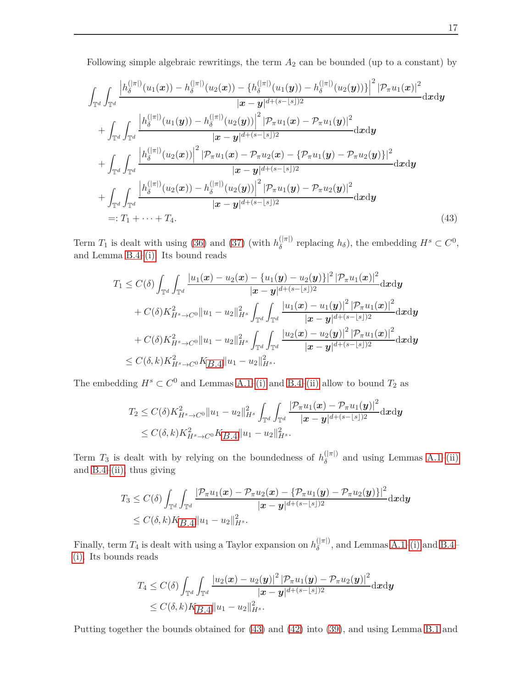Following simple algebraic rewritings, the term  $A_2$  can be bounded (up to a constant) by

$$
\int_{\mathbb{T}^{d}} \int_{\mathbb{T}^{d}} \frac{\left| h_{\delta}^{(|\pi|)}(u_{1}(\boldsymbol{x})) - h_{\delta}^{(|\pi|)}(u_{2}(\boldsymbol{x})) - \left\{ h_{\delta}^{(|\pi|)}(u_{1}(\boldsymbol{y})) - h_{\delta}^{(|\pi|)}(u_{2}(\boldsymbol{y})) \right\} \right|^{2} |\mathcal{P}_{\pi} u_{1}(\boldsymbol{x})|^{2}}{|\boldsymbol{x} - \boldsymbol{y}|^{d + (s - \lfloor s \rfloor) 2}} d\boldsymbol{x} d\boldsymbol{y} \n+ \int_{\mathbb{T}^{d}} \int_{\mathbb{T}^{d}} \frac{\left| h_{\delta}^{(|\pi|)}(u_{1}(\boldsymbol{y})) - h_{\delta}^{(|\pi|)}(u_{2}(\boldsymbol{y})) \right|^{2} |\mathcal{P}_{\pi} u_{1}(\boldsymbol{x}) - \mathcal{P}_{\pi} u_{1}(\boldsymbol{y})|^{2}}{|\boldsymbol{x} - \boldsymbol{y}|^{d + (s - \lfloor s \rfloor) 2}} d\boldsymbol{x} d\boldsymbol{y} \n+ \int_{\mathbb{T}^{d}} \int_{\mathbb{T}^{d}} \frac{\left| h_{\delta}^{(|\pi|)}(u_{2}(\boldsymbol{x})) \right|^{2} |\mathcal{P}_{\pi} u_{1}(\boldsymbol{x}) - \mathcal{P}_{\pi} u_{2}(\boldsymbol{x}) - \left\{ \mathcal{P}_{\pi} u_{1}(\boldsymbol{y}) - \mathcal{P}_{\pi} u_{2}(\boldsymbol{y}) \right\}|^{2}}{|\boldsymbol{x} - \boldsymbol{y}|^{d + (s - \lfloor s \rfloor) 2}} d\boldsymbol{x} d\boldsymbol{y} \n+ \int_{\mathbb{T}^{d}} \int_{\mathbb{T}^{d}} \frac{\left| h_{\delta}^{(|\pi|)}(u_{2}(\boldsymbol{x})) - h_{\delta}^{(|\pi|)}(u_{2}(\boldsymbol{y})) \right|^{2} |\mathcal{P}_{\pi} u_{1}(\boldsymbol{y}) - \mathcal{P}_{\pi} u_{2}(\boldsymbol{y})|^{2}}{|\boldsymbol{x} - \boldsymbol{y}|^{d + (s - \lfloor s \rfloor) 2}} d\boldsymbol{x} d\boldsymbol{y} \n=: T_{1} + \cdots + T_{4}.
$$
\n(43)

Term  $T_1$  is dealt with using [\(36\)](#page-13-2) and [\(37\)](#page-14-0) (with  $h_\delta^{(|\pi|)}$  replacing  $h_\delta$ ), the embedding  $H^s \subset C^0$ , and Lemma [B.4](#page-22-0)[–\(i\).](#page-22-1) Its bound reads

<span id="page-16-0"></span>
$$
\begin{aligned} T_1 & \leq C(\delta) \int_{\mathbb{T}^d}\int_{\mathbb{T}^d}\frac{|u_1(\bm{x})-u_2(\bm{x})-\{u_1(\bm{y})-u_2(\bm{y})\}|^2 \left|\mathcal{P}_\pi u_1(\bm{x})\right|^2}{|\bm{x}-\bm{y}|^{d+(s-\lfloor s \rfloor)2}}\mathrm{d} \bm{x}\mathrm{d}\bm{y} \\&+ C(\delta) K_{H^s\to C^0}^2\|u_1-u_2\|_{H^s}^2\int_{\mathbb{T}^d}\int_{\mathbb{T}^d}\frac{|u_1(\bm{x})-u_1(\bm{y})|^2\left|\mathcal{P}_\pi u_1(\bm{x})\right|^2}{|\bm{x}-\bm{y}|^{d+(s-\lfloor s \rfloor)2}}\mathrm{d} \bm{x}\mathrm{d}\bm{y} \\&+ C(\delta) K_{H^s\to C^0}^2\|u_1-u_2\|_{H^s}^2\int_{\mathbb{T}^d}\int_{\mathbb{T}^d}\frac{|u_2(\bm{x})-u_2(\bm{y})|^2\left|\mathcal{P}_\pi u_1(\bm{x})\right|^2}{|\bm{x}-\bm{y}|^{d+(s-\lfloor s \rfloor)2}}\mathrm{d} \bm{x}\mathrm{d}\bm{y} \\&\leq C(\delta,k) K_{H^s\to C^0}^2 K_{B.4}\|u_1-u_2\|_{H^s}^2. \end{aligned}
$$

The embedding  $H^s \subset C^0$  and Lemmas [A.1–](#page-19-1)[\(i\)](#page-19-2) and [B.4](#page-22-0)[–\(ii\)](#page-22-2) allow to bound  $T_2$  as

$$
T_2 \leq C(\delta) K_{H^s \to C^0}^2 \|u_1 - u_2\|_{H^s}^2 \int_{\mathbb{T}^d} \int_{\mathbb{T}^d} \frac{|\mathcal{P}_{\pi} u_1(\boldsymbol{x}) - \mathcal{P}_{\pi} u_1(\boldsymbol{y})|^2}{|\boldsymbol{x} - \boldsymbol{y}|^{d + (s - \lfloor s \rfloor)2}} d\boldsymbol{x} d\boldsymbol{y}
$$
  
\$\leq C(\delta, k) K\_{H^s \to C^0}^2 K\_{B,4} \|u\_1 - u\_2\|\_{H^s}^2.

Term  $T_3$  is dealt with by relying on the boundedness of  $h_{\delta}^{(|\pi|)}$  and using Lemmas [A.1–](#page-19-1)[\(ii\)](#page-19-3) and  $B.4-(ii)$ , thus giving

$$
T_3 \leq C(\delta) \int_{\mathbb{T}^d} \int_{\mathbb{T}^d} \frac{|\mathcal{P}_\pi u_1(\bm{x}) - \mathcal{P}_\pi u_2(\bm{x}) - \{\mathcal{P}_\pi u_1(\bm{y}) - \mathcal{P}_\pi u_2(\bm{y})\}|^2}{|\bm{x} - \bm{y}|^{d + (s - \lfloor s \rfloor)2}} d\bm{x} d\bm{y}
$$
  
\$\leq C(\delta, k) K\_{B.4} ||u\_1 - u\_2||\_{H^s}^2.

Finally, term  $T_4$  is dealt with using a Taylor expansion on  $h_\delta^{(|\pi|)}$ , and Lemmas [A.1](#page-19-1)[–\(i\)](#page-19-2) and [B.4–](#page-22-0) [\(i\).](#page-22-1) Its bounds reads

$$
T_4 \leq C(\delta) \int_{\mathbb{T}^d} \int_{\mathbb{T}^d} \frac{|u_2(\bm{x}) - u_2(\bm{y})|^2 |\mathcal{P}_\pi u_1(\bm{y}) - \mathcal{P}_\pi u_2(\bm{y})|^2}{|\bm{x} - \bm{y}|^{d + (s - \lfloor s \rfloor)2}} d\bm{x} d\bm{y}
$$
  
\$\leq C(\delta, k)K\_{B.4} ||u\_1 - u\_2||\_{H^s}^2.

Putting together the bounds obtained for [\(43\)](#page-16-0) and [\(42\)](#page-15-2) into [\(39\)](#page-15-3), and using Lemma [B.1](#page-20-1) and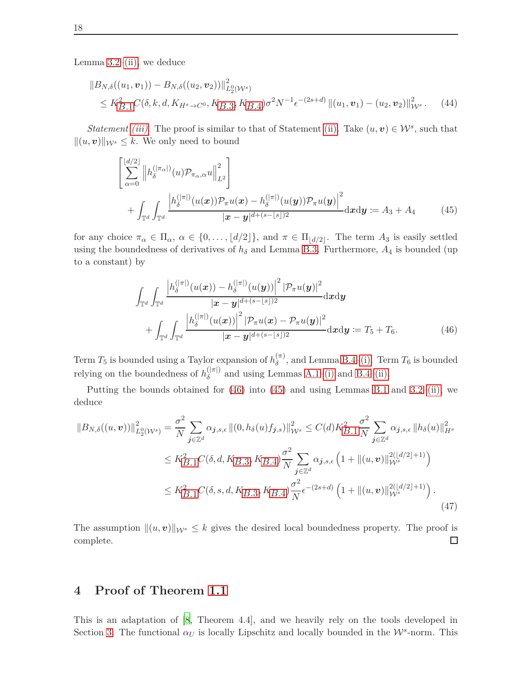Lemma  $3.2$ [–\(ii\),](#page-10-8) we deduce

$$
||B_{N,\delta}((u_1, v_1)) - B_{N,\delta}((u_2, v_2))||_{L_2^0(W^s)}^2
$$
  
\n
$$
\leq K_{B,1}^2 C(\delta, k, d, K_{H^s \to C^0}, K_{B,3}, K_{B,4}) \sigma^2 N^{-1} \epsilon^{-(2s+d)} ||(u_1, v_1) - (u_2, v_2)||_{W^s}^2.
$$
 (44)

*Statement [\(iii\)](#page-12-3)*. The proof is similar to that of Statement [\(ii\).](#page-12-2) Take  $(u, v) \in \mathcal{W}^s$ , such that  $||(u, v)||_{W^s} \leq k$ . We only need to bound

$$
\begin{aligned}\n&\left[\sum_{\alpha=0}^{\lfloor d/2 \rfloor} \left\| h_{\delta}^{(|\pi_{\alpha}|)}(u) \mathcal{P}_{\pi_{\alpha},\alpha} u \right\|_{L^{2}}^{2}\right] \\
&+ \int_{\mathbb{T}^{d}} \int_{\mathbb{T}^{d}} \frac{\left| h_{\delta}^{(|\pi|)}(u(\boldsymbol{x})) \mathcal{P}_{\pi} u(\boldsymbol{x}) - h_{\delta}^{(|\pi|)}(u(\boldsymbol{y})) \mathcal{P}_{\pi} u(\boldsymbol{y}) \right|^{2}}{| \boldsymbol{x} - \boldsymbol{y} |^{d + (s - \lfloor s \rfloor) 2}} d\boldsymbol{x} d\boldsymbol{y} := A_{3} + A_{4} \qquad (45)\n\end{aligned}
$$

for any choice  $\pi_{\alpha} \in \Pi_{\alpha}, \ \alpha \in \{0, \ldots, \lfloor d/2 \rfloor\},\$  and  $\pi \in \Pi_{\lfloor d/2 \rfloor}$ . The term  $A_3$  is easily settled using the boundedness of derivatives of  $h_\delta$  and Lemma [B.3.](#page-21-0) Furthermore,  $A_4$  is bounded (up to a constant) by

<span id="page-17-2"></span><span id="page-17-1"></span>
$$
\int_{\mathbb{T}^d} \int_{\mathbb{T}^d} \frac{\left| h_{\delta}^{(|\pi|)}(u(\boldsymbol{x})) - h_{\delta}^{(|\pi|)}(u(\boldsymbol{y})) \right|^2 |\mathcal{P}_{\pi} u(\boldsymbol{y})|^2}{|\boldsymbol{x} - \boldsymbol{y}|^{d + (s - \lfloor s \rfloor)2}} d\boldsymbol{x} d\boldsymbol{y} \n+ \int_{\mathbb{T}^d} \int_{\mathbb{T}^d} \frac{\left| h_{\delta}^{(|\pi|)}(u(\boldsymbol{x})) \right|^2 |\mathcal{P}_{\pi} u(\boldsymbol{x}) - \mathcal{P}_{\pi} u(\boldsymbol{y})|^2}{|\boldsymbol{x} - \boldsymbol{y}|^{d + (s - \lfloor s \rfloor)2}} d\boldsymbol{x} d\boldsymbol{y} := T_5 + T_6.
$$
\n(46)

Term  $T_5$  is bounded using a Taylor expansion of  $h_{\delta}^{(\pi)}$  $\delta^{(n)}$ , and Lemma [B.4–](#page-22-0)[\(i\).](#page-22-1) Term  $T_6$  is bounded relying on the boundedness of  $h_{\delta}^{(|\pi|)}$  and using Lemmas [A.1](#page-19-1)[–\(i\)](#page-19-2) and [B.4–](#page-22-0)[\(ii\).](#page-22-2)

Putting the bounds obtained for  $(46)$  into  $(45)$  and using Lemmas [B.1](#page-20-1) and [3.2](#page-10-1)[–\(ii\),](#page-10-8) we deduce

$$
\|B_{N,\delta}((u,v))\|_{L_2^0(\mathcal{W}^s)}^2 = \frac{\sigma^2}{N} \sum_{j \in \mathbb{Z}^d} \alpha_{j,s,\epsilon} \|(0, h_\delta(u)f_{j,s})\|_{\mathcal{W}^s}^2 \le C(d) K_{B.1}^2 \frac{\sigma^2}{N} \sum_{j \in \mathbb{Z}^d} \alpha_{j,s,\epsilon} \|h_\delta(u)\|_{H^s}^2
$$
  

$$
\le K_{B.1}^2 C(\delta, d, K_{B.3}, K_{B.4}) \frac{\sigma^2}{N} \sum_{j \in \mathbb{Z}^d} \alpha_{j,s,\epsilon} \left(1 + \|(u,v)\|_{\mathcal{W}^s}^{2(|d/2|+1)}\right)
$$
  

$$
\le K_{B.1}^2 C(\delta, s, d, K_{B.3}, K_{B.4}) \frac{\sigma^2}{N} \epsilon^{-(2s+d)} \left(1 + \|(u,v)\|_{\mathcal{W}^s}^{2(|d/2|+1)}\right).
$$
(47)

<span id="page-17-3"></span>The assumption  $\|(u, v)\|_{\mathcal{W}^s} \leq k$  gives the desired local boundedness property. The proof is complete. complete.

# <span id="page-17-0"></span>**4 Proof of Theorem [1.1](#page-2-2)**

This is an adaptation of [\[8,](#page-26-4) Theorem 4.4], and we heavily rely on the tools developed in Section [3.](#page-8-0) The functional  $\alpha_U$  is locally Lipschitz and locally bounded in the  $\mathcal{W}^s$ -norm. This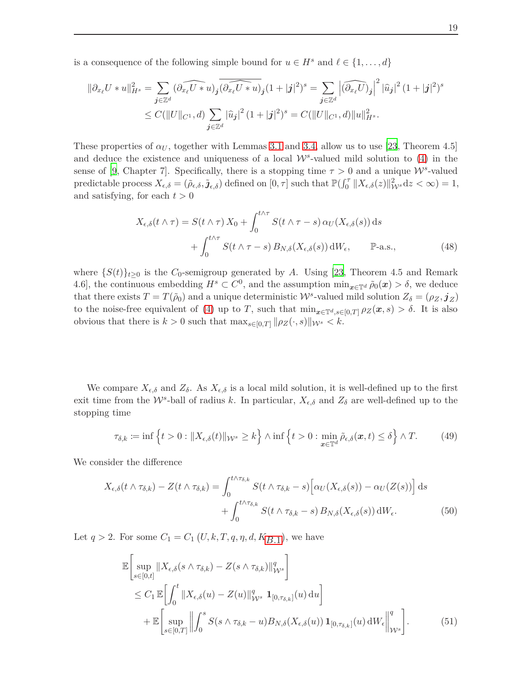is a consequence of the following simple bound for  $u \in H^s$  and  $\ell \in \{1, \ldots, d\}$ 

$$
\|\partial_{x_{\ell}}U * u\|_{H^s}^2 = \sum_{\mathbf{j} \in \mathbb{Z}^d} (\widehat{\partial_{x_{\ell}}U * u})_{\mathbf{j}} \widehat{(\partial_{x_{\ell}}U * u)}_{\mathbf{j}} (1+|\mathbf{j}|^2)^s = \sum_{\mathbf{j} \in \mathbb{Z}^d} \left| (\widehat{\partial_{x_{\ell}}U})_{\mathbf{j}} \right|^2 |\widehat{u}_{\mathbf{j}}|^2 (1+|\mathbf{j}|^2)^s
$$
  
 
$$
\leq C(\|U\|_{C^1}, d) \sum_{\mathbf{j} \in \mathbb{Z}^d} |\widehat{u}_{\mathbf{j}}|^2 (1+|\mathbf{j}|^2)^s = C(\|U\|_{C^1}, d) \|u\|_{H^s}^2.
$$

These properties of  $\alpha_U$ , together with Lemmas [3.1](#page-9-0) and [3.4,](#page-12-1) allow us to use [\[23](#page-27-11), Theorem 4.5] and deduce the existence and uniqueness of a local  $\mathcal{W}^s$ -valued mild solution to [\(4\)](#page-2-0) in the sense of [\[9](#page-26-5), Chapter 7]. Specifically, there is a stopping time  $\tau > 0$  and a unique  $W^s$ -valued predictable process  $X_{\epsilon,\delta} = (\tilde{\rho}_{\epsilon,\delta}, \tilde{\jmath}_{\epsilon,\delta})$  defined on  $[0, \tau]$  such that  $\mathbb{P}(\int_0^{\tau} ||X_{\epsilon,\delta}(z)||_{\mathcal{W}^s}^2 dz < \infty) = 1$ , and satisfying, for each  $t > 0$ 

<span id="page-18-1"></span>
$$
X_{\epsilon,\delta}(t \wedge \tau) = S(t \wedge \tau) X_0 + \int_0^{t \wedge \tau} S(t \wedge \tau - s) \alpha_U(X_{\epsilon,\delta}(s)) ds
$$
  
+ 
$$
\int_0^{t \wedge \tau} S(t \wedge \tau - s) B_{N,\delta}(X_{\epsilon,\delta}(s)) dW_{\epsilon}, \qquad \mathbb{P}\text{-a.s.},
$$
 (48)

where  $\{S(t)\}_{t\geq 0}$  is the *C*<sub>0</sub>-semigroup generated by *A*. Using [\[23](#page-27-11), Theorem 4.5 and Remark 4.6, the continuous embedding  $H^s \subset C^0$ , and the assumption  $\min_{x \in \mathbb{T}^d} \tilde{\rho}_0(x) > \delta$ , we deduce that there exists  $T = T(\tilde{\rho}_0)$  and a unique deterministic  $W^s$ -valued mild solution  $Z_\delta = (\rho_Z, \mathbf{j}_Z)$ to the noise-free equivalent of [\(4\)](#page-2-0) up to *T*, such that  $\min_{x \in \mathbb{T}^d, s \in [0,T]} \rho_Z(x, s) > \delta$ . It is also obvious that there is  $k > 0$  such that  $\max_{s \in [0,T]} ||\rho_Z(\cdot, s)||_{\mathcal{W}^s} < k$ .

We compare  $X_{\epsilon,\delta}$  and  $Z_{\delta}$ . As  $X_{\epsilon,\delta}$  is a local mild solution, it is well-defined up to the first exit time from the  $W^s$ -ball of radius *k*. In particular,  $X_{\epsilon,\delta}$  and  $Z_{\delta}$  are well-defined up to the stopping time

$$
\tau_{\delta,k} := \inf \left\{ t > 0 : \|X_{\epsilon,\delta}(t)\|_{\mathcal{W}^s} \ge k \right\} \wedge \inf \left\{ t > 0 : \min_{\boldsymbol{x} \in \mathbb{T}^d} \tilde{\rho}_{\epsilon,\delta}(\boldsymbol{x},t) \le \delta \right\} \wedge T. \tag{49}
$$

We consider the difference

$$
X_{\epsilon,\delta}(t \wedge \tau_{\delta,k}) - Z(t \wedge \tau_{\delta,k}) = \int_0^{t \wedge \tau_{\delta,k}} S(t \wedge \tau_{\delta,k} - s) \left[ \alpha_U(X_{\epsilon,\delta}(s)) - \alpha_U(Z(s)) \right] ds
$$
  
+ 
$$
\int_0^{t \wedge \tau_{\delta,k}} S(t \wedge \tau_{\delta,k} - s) B_{N,\delta}(X_{\epsilon,\delta}(s)) dW_{\epsilon}.
$$
 (50)

Let  $q > 2$ . For some  $C_1 = C_1 (U, k, T, q, \eta, d, K_{B,1})$ , we have

<span id="page-18-0"></span>
$$
\mathbb{E}\left[\sup_{s\in[0,t]}||X_{\epsilon,\delta}(s\wedge\tau_{\delta,k}) - Z(s\wedge\tau_{\delta,k})||_{\mathcal{W}^s}^q\right] \n\leq C_1 \mathbb{E}\left[\int_0^t ||X_{\epsilon,\delta}(u) - Z(u)||_{\mathcal{W}^s}^q \mathbf{1}_{[0,\tau_{\delta,k}]}(u) du\right] \n+ \mathbb{E}\left[\sup_{s\in[0,T]}||\int_0^s S(s\wedge\tau_{\delta,k} - u)B_{N,\delta}(X_{\epsilon,\delta}(u)) \mathbf{1}_{[0,\tau_{\delta,k}]}(u) dW_{\epsilon}||_{\mathcal{W}^s}^q\right].
$$
\n(51)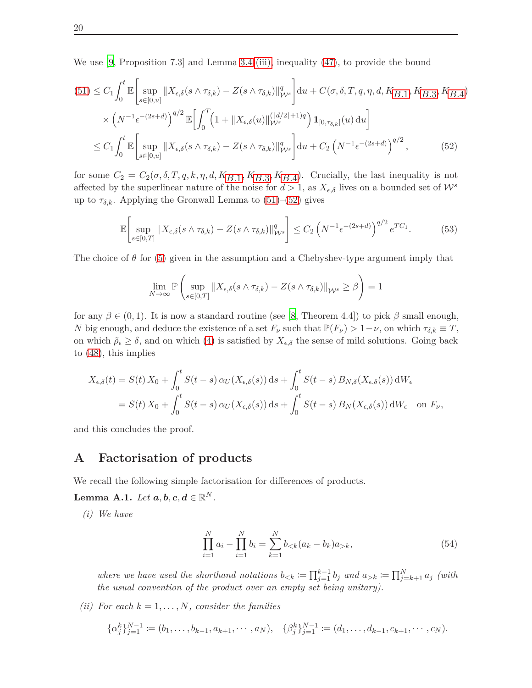We use [\[9,](#page-26-5) Proposition 7.3] and Lemma [3.4](#page-12-1)[-\(iii\),](#page-12-3) inequality [\(47\)](#page-17-3), to provide the bound

$$
(51) \leq C_1 \int_0^t \mathbb{E} \Big[ \sup_{s \in [0,u]} \|X_{\epsilon,\delta}(s \wedge \tau_{\delta,k}) - Z(s \wedge \tau_{\delta,k})\|_{\mathcal{W}^s}^q \Big] du + C(\sigma, \delta, T, q, \eta, d, K_{B,1}, K_{B,3}, K_{B,4})
$$
  
 
$$
\times \left( N^{-1} \epsilon^{-(2s+d)} \right)^{q/2} \mathbb{E} \Big[ \int_0^T \left( 1 + \|X_{\epsilon,\delta}(u)\|_{\mathcal{W}^s}^{((d/2)+1)q} \right) \mathbf{1}_{[0,\tau_{\delta,k}]}(u) du \Big]
$$
  
 
$$
\leq C_1 \int_0^t \mathbb{E} \Big[ \sup_{s \in [0,u]} \|X_{\epsilon,\delta}(s \wedge \tau_{\delta,k}) - Z(s \wedge \tau_{\delta,k})\|_{\mathcal{W}^s}^q \Big] du + C_2 \left( N^{-1} \epsilon^{-(2s+d)} \right)^{q/2}, \tag{52}
$$

for some  $C_2 = C_2(\sigma, \delta, T, q, k, \eta, d, K_{B,1}, K_{B,3}, K_{B,4})$ . Crucially, the last inequality is not affected by the superlinear nature of the noise for  $d > 1$ , as  $X_{\epsilon,\delta}$  lives on a bounded set of  $\mathcal{W}^s$ up to  $\tau_{\delta,k}$ . Applying the Gronwall Lemma to  $(51)$ – $(52)$  gives

$$
\mathbb{E}\left[\sup_{s\in[0,T]}\|X_{\epsilon,\delta}(s\wedge\tau_{\delta,k}) - Z(s\wedge\tau_{\delta,k})\|_{\mathcal{W}^s}^q\right] \le C_2 \left(N^{-1}\epsilon^{-(2s+d)}\right)^{q/2} e^{TC_1}.\tag{53}
$$

The choice of  $\theta$  for [\(5\)](#page-2-1) given in the assumption and a Chebyshev-type argument imply that

<span id="page-19-4"></span>
$$
\lim_{N \to \infty} \mathbb{P}\left(\sup_{s \in [0,T]} \|X_{\epsilon,\delta}(s \wedge \tau_{\delta,k}) - Z(s \wedge \tau_{\delta,k})\|_{\mathcal{W}^s} \geq \beta\right) = 1
$$

for any  $\beta \in (0,1)$ . It is now a standard routine (see [\[8](#page-26-4), Theorem 4.4]) to pick  $\beta$  small enough, *N* big enough, and deduce the existence of a set  $F_\nu$  such that  $\mathbb{P}(F_\nu) > 1 - \nu$ , on which  $\tau_{\delta,k} \equiv T$ , on which  $\rho_{\epsilon} \geq \delta$ , and on which [\(4\)](#page-2-0) is satisfied by  $X_{\epsilon,\delta}$  the sense of mild solutions. Going back to [\(48\)](#page-18-1), this implies

$$
X_{\epsilon,\delta}(t) = S(t) X_0 + \int_0^t S(t-s) \alpha_U(X_{\epsilon,\delta}(s)) ds + \int_0^t S(t-s) B_{N,\delta}(X_{\epsilon,\delta}(s)) dW_{\epsilon}
$$
  
=  $S(t) X_0 + \int_0^t S(t-s) \alpha_U(X_{\epsilon,\delta}(s)) ds + \int_0^t S(t-s) B_N(X_{\epsilon,\delta}(s)) dW_{\epsilon}$  on  $F_{\nu}$ ,

<span id="page-19-0"></span>and this concludes the proof.

## **A Factorisation of products**

We recall the following simple factorisation for differences of products.

<span id="page-19-2"></span><span id="page-19-1"></span>**Lemma A.1.** *Let*  $a, b, c, d \in \mathbb{R}^N$ .

*(i) We have*

$$
\prod_{i=1}^{N} a_i - \prod_{i=1}^{N} b_i = \sum_{k=1}^{N} b_{< k} (a_k - b_k) a_{> k},\tag{54}
$$

*where we have used the shorthand notations*  $b_{< k} := \prod_{j=1}^{k-1} b_j$  *and*  $a_{> k} := \prod_{j=k+1}^{N} a_j$  *(with the usual convention of the product over an empty set being unitary).*

<span id="page-19-3"></span>*(ii)* For each  $k = 1, \ldots, N$ *, consider the families* 

$$
\{\alpha_j^k\}_{j=1}^{N-1} := (b_1, \ldots, b_{k-1}, a_{k+1}, \cdots, a_N), \quad \{\beta_j^k\}_{j=1}^{N-1} := (d_1, \ldots, d_{k-1}, c_{k+1}, \cdots, c_N).
$$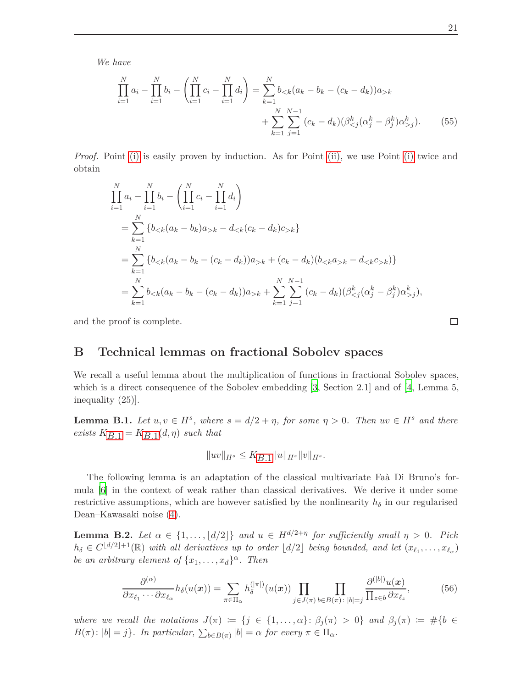*We have*

$$
\prod_{i=1}^{N} a_i - \prod_{i=1}^{N} b_i - \left(\prod_{i=1}^{N} c_i - \prod_{i=1}^{N} d_i\right) = \sum_{k=1}^{N} b_{< k} (a_k - b_k - (c_k - d_k)) a_{> k} + \sum_{k=1}^{N} \sum_{j=1}^{N-1} (c_k - d_k) (\beta^k_{< j} (\alpha^k_j - \beta^k_j) \alpha^k_{> j}).\tag{55}
$$

*Proof.* Point [\(i\)](#page-19-2) is easily proven by induction. As for Point [\(ii\),](#page-19-3) we use Point (i) twice and obtain

$$
\prod_{i=1}^{N} a_i - \prod_{i=1}^{N} b_i - \left(\prod_{i=1}^{N} c_i - \prod_{i=1}^{N} d_i\right)
$$
\n
$$
= \sum_{k=1}^{N} \left\{b_{< k}(a_k - b_k)a_{> k} - d_{< k}(c_k - d_k)c_{> k}\right\}
$$
\n
$$
= \sum_{k=1}^{N} \left\{b_{< k}(a_k - b_k - (c_k - d_k))a_{> k} + (c_k - d_k)(b_{< k}a_{> k} - d_{< k}c_{> k}\right\}
$$
\n
$$
= \sum_{k=1}^{N} b_{< k}(a_k - b_k - (c_k - d_k))a_{> k} + \sum_{k=1}^{N} \sum_{j=1}^{N-1} (c_k - d_k)(\beta_{< j}^k(\alpha_j^k - \beta_j^k)\alpha_{> j}^k),
$$

<span id="page-20-0"></span>and the proof is complete.

## **B Technical lemmas on fractional Sobolev spaces**

We recall a useful lemma about the multiplication of functions in fractional Sobolev spaces, which is a direct consequence of the Sobolev embedding [\[3](#page-26-6), Section 2.1] and of [\[4](#page-26-9), Lemma 5, inequality (25)].

<span id="page-20-1"></span>**Lemma B.1.** *Let*  $u, v \in H^s$ , where  $s = d/2 + \eta$ , for some  $\eta > 0$ . Then  $uv \in H^s$  and there  $exists$   $K_{B,1} = K_{B,1}(d, \eta)$  *such that* 

$$
||uv||_{H^s} \leq K_{B.1} ||u||_{H^s} ||v||_{H^s}.
$$

The following lemma is an adaptation of the classical multivariate Fa $\hat{a}$  Di Bruno's formula [\[6](#page-26-10)] in the context of weak rather than classical derivatives. We derive it under some restrictive assumptions, which are however satisfied by the nonlinearity  $h_{\delta}$  in our regularised Dean–Kawasaki noise [\(4\)](#page-2-0).

<span id="page-20-2"></span>**Lemma B.2.** *Let*  $\alpha \in \{1, ..., \lfloor d/2 \rfloor\}$  *and*  $u \in H^{d/2+\eta}$  *for sufficiently small*  $\eta > 0$ *. Pick*  $h_{\delta} \in C^{\lfloor d/2 \rfloor + 1}(\mathbb{R})$  *with all derivatives up to order*  $\lfloor d/2 \rfloor$  *being bounded, and let*  $(x_{\ell_1}, \ldots, x_{\ell_\alpha})$ *be an arbitrary element of*  $\{x_1, \ldots, x_d\}^\alpha$ *. Then* 

$$
\frac{\partial^{(\alpha)}}{\partial x_{\ell_1}\cdots\partial x_{\ell_\alpha}}h_\delta(u(\boldsymbol{x})) = \sum_{\pi\in\Pi_\alpha} h_\delta^{(|\pi|)}(u(\boldsymbol{x})) \prod_{j\in J(\pi)} \prod_{b\in B(\pi):\,|b|=j} \frac{\partial^{(|b|)} u(\boldsymbol{x})}{\prod_{z\in b} \partial x_{\ell_z}},\tag{56}
$$

*where we recall the notations*  $J(\pi) := \{j \in \{1, ..., \alpha\} : \beta_j(\pi) > 0\}$  *and*  $\beta_j(\pi) := \#\{b \in \mathbb{R} : j \neq j\}$  $B(\pi) : |b| = j$ . In particular,  $\sum_{b \in B(\pi)} |b| = \alpha$  for every  $\pi \in \Pi_{\alpha}$ .

<span id="page-20-3"></span> $\Box$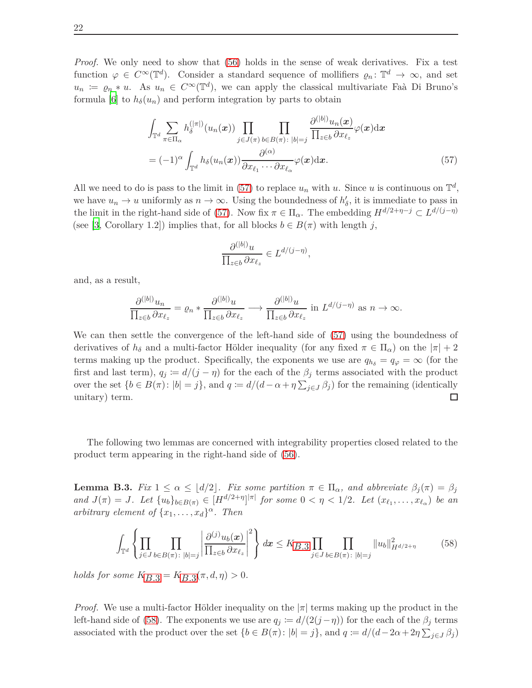*Proof.* We only need to show that [\(56\)](#page-20-3) holds in the sense of weak derivatives. Fix a test function  $\varphi \in C^{\infty}(\mathbb{T}^d)$ . Consider a standard sequence of mollifiers  $\varrho_n: \mathbb{T}^d \to \infty$ , and set  $u_n := \varrho_n * u$ . As  $u_n \in C^\infty(\mathbb{T}^d)$ , we can apply the classical multivariate Faà Di Bruno's formula [\[6](#page-26-10)] to  $h_{\delta}(u_n)$  and perform integration by parts to obtain

$$
\int_{\mathbb{T}^d} \sum_{\pi \in \Pi_{\alpha}} h_{\delta}^{(|\pi|)}(u_n(x)) \prod_{j \in J(\pi)} \prod_{b \in B(\pi) : |b|=j} \frac{\partial^{(|b|)} u_n(x)}{\prod_{z \in b} \partial x_{\ell_z}} \varphi(x) dx
$$
\n
$$
= (-1)^{\alpha} \int_{\mathbb{T}^d} h_{\delta}(u_n(x)) \frac{\partial^{(\alpha)}}{\partial x_{\ell_1} \cdots \partial x_{\ell_\alpha}} \varphi(x) dx.
$$
\n(57)

<span id="page-21-2"></span><span id="page-21-1"></span>*,*

All we need to do is pass to the limit in [\(57\)](#page-21-1) to replace  $u_n$  with  $u$ . Since  $u$  is continuous on  $\mathbb{T}^d$ , we have  $u_n \to u$  uniformly as  $n \to \infty$ . Using the boundedness of  $h'_\delta$ , it is immediate to pass in the limit in the right-hand side of [\(57\)](#page-21-1). Now fix  $\pi \in \Pi_{\alpha}$ . The embedding  $H^{d/2+\eta-j} \subset L^{d/(j-\eta)}$ (see [\[3](#page-26-6), Corollary 1.2]) implies that, for all blocks  $b \in B(\pi)$  with length *j*,

$$
\frac{\partial^{(|b|)} u}{\prod_{z \in b} \partial x_{\ell_z}} \in L^{d/(j-\eta)}
$$

and, as a result,

$$
\frac{\partial^{(|b|)} u_n}{\prod_{z\in b} \partial x_{\ell_z}} = \varrho_n * \frac{\partial^{(|b|)} u}{\prod_{z\in b} \partial x_{\ell_z}} \longrightarrow \frac{\partial^{(|b|)} u}{\prod_{z\in b} \partial x_{\ell_z}} \text{ in } L^{d/(j-\eta)} \text{ as } n \to \infty.
$$

We can then settle the convergence of the left-hand side of [\(57\)](#page-21-1) using the boundedness of derivatives of  $h_\delta$  and a multi-factor Hölder inequality (for any fixed  $\pi \in \Pi_\alpha$ ) on the  $|\pi| + 2$ terms making up the product. Specifically, the exponents we use are  $q_{h_{\delta}} = q_{\varphi} = \infty$  (for the first and last term),  $q_j := d/(j - \eta)$  for the each of the  $\beta_j$  terms associated with the product over the set  $\{b \in B(\pi) : |b| = j\}$ , and  $q := d/(d - \alpha + \eta \sum_{j \in J} \beta_j)$  for the remaining (identically unitary) term.

The following two lemmas are concerned with integrability properties closed related to the product term appearing in the right-hand side of [\(56\)](#page-20-3).

<span id="page-21-0"></span>**Lemma B.3.** Fix  $1 \leq \alpha \leq |d/2|$ . Fix some partition  $\pi \in \Pi_{\alpha}$ , and abbreviate  $\beta_i(\pi) = \beta_i$ and  $J(\pi) = J$ . Let  $\{u_b\}_{b \in B(\pi)} \in [H^{d/2+\eta}]^{|\pi|}$  for some  $0 < \eta < 1/2$ . Let  $(x_{\ell_1}, \ldots, x_{\ell_\alpha})$  be an *arbitrary element of*  $\{x_1, \ldots, x_d\}^\alpha$ *. Then* 

$$
\int_{\mathbb{T}^d} \left\{ \prod_{j \in J} \prod_{b \in B(\pi) : \, |b|=j} \left| \frac{\partial^{(j)} u_b(x)}{\prod_{z \in b} \partial x_{\ell_z}} \right|^2 \right\} dx \le K_{B.3} \prod_{j \in J} \prod_{b \in B(\pi) : \, |b|=j} \|u_b\|_{H^{d/2+\eta}}^2 \tag{58}
$$

*holds for some*  $K_{B,3} = K_{B,3}(\pi, d, \eta) > 0$ *.* 

*Proof.* We use a multi-factor Hölder inequality on the  $|\pi|$  terms making up the product in the left-hand side of [\(58\)](#page-21-2). The exponents we use are  $q_j := d/(2(j - \eta))$  for the each of the  $\beta_j$  terms associated with the product over the set  $\{b \in B(\pi): |b| = j\}$ , and  $q := d/(d - 2\alpha + 2\eta \sum_{j \in J} \beta_j)$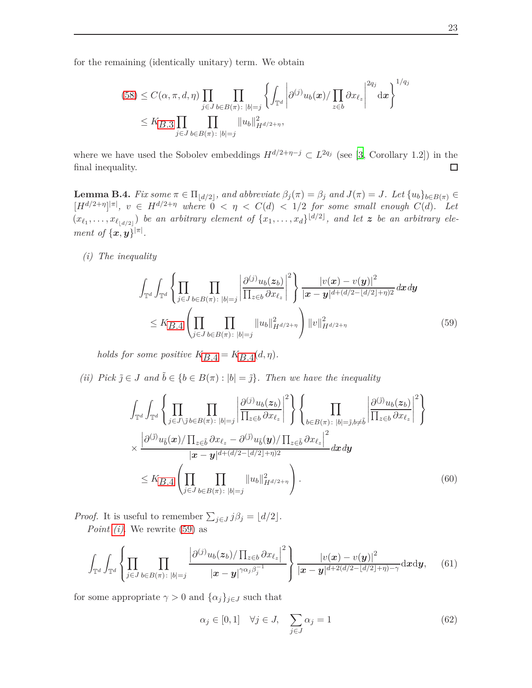for the remaining (identically unitary) term. We obtain

$$
(58) \leq C(\alpha, \pi, d, \eta) \prod_{j \in J} \prod_{b \in B(\pi) : |b| = j} \left\{ \int_{\mathbb{T}^d} \left| \partial^{(j)} u_b(\boldsymbol{x}) / \prod_{z \in b} \partial x_{\ell_z} \right|^{2q_j} d\boldsymbol{x} \right\}^{1/q_j}
$$
  

$$
\leq K_{B.3} \prod_{j \in J} \prod_{b \in B(\pi) : |b| = j} ||u_b||_{H^{d/2 + \eta}}^2,
$$

where we have used the Sobolev embeddings  $H^{d/2+\eta-j} \subset L^{2q_j}$  (see [\[3](#page-26-6), Corollary 1.2]) in the final inequality.  $\Box$ 

<span id="page-22-0"></span>**Lemma B.4.** Fix some  $\pi \in \Pi_{\lfloor d/2 \rfloor}$ , and abbreviate  $\beta_j(\pi) = \beta_j$  and  $J(\pi) = J$ . Let  $\{u_b\}_{b \in B(\pi)} \in$  $[H^{d/2+\eta}]^{|\pi|}, v \in H^{d/2+\eta}$  where  $0 < \eta < C(d) < 1/2$  for some small enough  $C(d)$ . Let  $(x_{\ell_1}, \ldots, x_{\ell_{\lfloor d/2 \rfloor}})$  *be an arbitrary element of*  $\{x_1, \ldots, x_d\}^{\lfloor d/2 \rfloor}$ *, and let z be an arbitrary element of*  $\{\boldsymbol{x}, \boldsymbol{y}\}^{|\pi|}$ .

<span id="page-22-1"></span>*(i) The inequality*

<span id="page-22-3"></span>
$$
\int_{\mathbb{T}^d} \int_{\mathbb{T}^d} \left\{ \prod_{j \in J} \prod_{b \in B(\pi) : |b|=j} \left| \frac{\partial^{(j)} u_b(z_b)}{\prod_{z \in b} \partial x_{\ell_z}} \right|^2 \right\} \frac{|v(x) - v(y)|^2}{|x - y|^{d + (d/2 - \lfloor d/2 \rfloor + \eta)2}} dx dy
$$
\n
$$
\leq K_{B.4} \left( \prod_{j \in J} \prod_{b \in B(\pi) : |b|=j} \|u_b\|_{H^{d/2+\eta}}^2 \right) \|v\|_{H^{d/2+\eta}}^2 \qquad (59)
$$

*holds for some positive*  $K_{B,4} = K_{B,4}(d, \eta)$ *.* 

<span id="page-22-2"></span>*(ii)* Pick  $\tilde{j} \in J$  *and*  $\tilde{b} \in \{b \in B(\pi) : |b| = \tilde{j}\}$ *. Then we have the inequality* 

$$
\int_{\mathbb{T}^d} \int_{\mathbb{T}^d} \left\{ \prod_{j \in J \setminus \tilde{j}} \prod_{b \in B(\pi) : |b|=j} \left| \frac{\partial^{(j)} u_b(z_b)}{\prod_{z \in b} \partial x_{\ell_z}} \right|^2 \right\} \left\{ \prod_{b \in B(\pi) : |b|=\tilde{j}, b \neq \tilde{b}} \left| \frac{\partial^{(\tilde{j})} u_b(z_b)}{\prod_{z \in b} \partial x_{\ell_z}} \right|^2 \right\} \times \frac{\left| \partial^{(\tilde{j})} u_{\tilde{b}}(x) / \prod_{z \in \tilde{b}} \partial x_{\ell_z} - \partial^{(\tilde{j})} u_{\tilde{b}}(y) / \prod_{z \in \tilde{b}} \partial x_{\ell_z} \right|^2}{|x - y|^{d + (d/2 - \lfloor d/2 \rfloor + \eta) 2}} dx dy \leq K_{B.4} \left( \prod_{j \in J} \prod_{b \in B(\pi) : |b|=\tilde{j}} \|u_b\|_{H^{d/2+\eta}}^2 \right).
$$
\n(60)

*Proof.* It is useful to remember  $\sum_{j \in J} j \beta_j = \lfloor d/2 \rfloor$ . *Point [\(i\)](#page-22-1)*. We rewrite [\(59\)](#page-22-3) as

$$
\int_{\mathbb{T}^d} \int_{\mathbb{T}^d} \left\{ \prod_{j \in J} \prod_{b \in B(\pi) : \; |b|=j} \frac{\left| \partial^{(j)} u_b(\boldsymbol{z}_b) / \prod_{z \in b} \partial x_{\ell_z} \right|^2}{|\boldsymbol{x} - \boldsymbol{y}|^{\gamma \alpha_j \beta_j^{-1}}} \right\} \frac{|v(\boldsymbol{x}) - v(\boldsymbol{y})|^2}{|\boldsymbol{x} - \boldsymbol{y}|^{d+2(d/2 - \lfloor d/2 \rfloor + \eta) - \gamma}} \mathrm{d} \boldsymbol{x} \mathrm{d} \boldsymbol{y}, \qquad (61)
$$

for some appropriate  $\gamma > 0$  and  $\{\alpha_j\}_{j \in J}$  such that

<span id="page-22-6"></span><span id="page-22-5"></span><span id="page-22-4"></span>
$$
\alpha_j \in [0, 1] \quad \forall j \in J, \quad \sum_{j \in J} \alpha_j = 1 \tag{62}
$$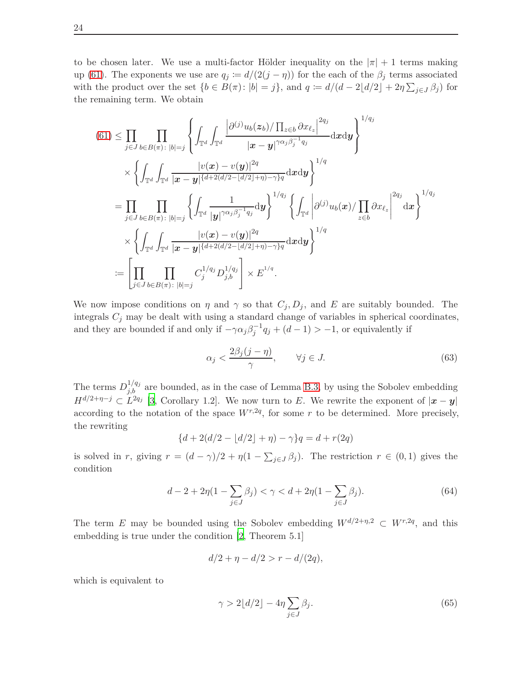to be chosen later. We use a multi-factor Hölder inequality on the  $|\pi| + 1$  terms making up [\(61\)](#page-22-4). The exponents we use are  $q_j := d/(2(j - \eta))$  for the each of the  $\beta_j$  terms associated with the product over the set  $\{b \in B(\pi) : |b| = j\}$ , and  $q := d/(d - 2\lfloor d/2 \rfloor + 2\eta \sum_{j \in J} \beta_j)$  for the remaining term. We obtain

$$
(61) \leq \prod_{j \in J} \prod_{b \in B(\pi): |b|=j} \left\{ \int_{\mathbb{T}^d} \int_{\mathbb{T}^d} \frac{\left| \partial^{(j)} u_b(z_b) / \prod_{z \in b} \partial x_{\ell_z} \right|^{2q_j}}{|x - y|^{\gamma \alpha_j \beta_j^{-1} q_j}} \mathrm{d}x \mathrm{d}y \right\}^{1/q_j} \times \left\{ \int_{\mathbb{T}^d} \int_{\mathbb{T}^d} \frac{|v(x) - v(y)|^{2q}}{|x - y|^{\{d + 2(d/2 - \lfloor d/2 \rfloor + \eta) - \gamma\} q}} \mathrm{d}x \mathrm{d}y \right\}^{1/q} \right\}
$$
  
\n
$$
= \prod_{j \in J} \prod_{b \in B(\pi): |b|=j} \left\{ \int_{\mathbb{T}^d} \frac{1}{|y|^{\gamma \alpha_j \beta_j^{-1} q_j}} \mathrm{d}y \right\}^{1/q_j} \left\{ \int_{\mathbb{T}^d} \left| \partial^{(j)} u_b(x) / \prod_{z \in b} \partial x_{\ell_z} \right|^{2q_j} \mathrm{d}x \right\}^{1/q_j} \times \left\{ \int_{\mathbb{T}^d} \int_{\mathbb{T}^d} \frac{|v(x) - v(y)|^{2q}}{|x - y|^{\{d + 2(d/2 - \lfloor d/2 \rfloor + \eta) - \gamma\} q}} \mathrm{d}x \mathrm{d}y \right\}^{1/q} \times \left\{ \prod_{j \in J} \prod_{b \in B(\pi): |b|=j} C_j^{1/q_j} D_{j,b}^{1/q_j} \right\} \times E^{1/q}.
$$

We now impose conditions on *η* and  $\gamma$  so that  $C_j, D_j$ , and *E* are suitably bounded. The integrals  $C_j$  may be dealt with using a standard change of variables in spherical coordinates, and they are bounded if and only if  $-\gamma \alpha_j \beta_j^{-1} q_j + (d - 1) > -1$ , or equivalently if

<span id="page-23-2"></span>
$$
\alpha_j < \frac{2\beta_j(j-\eta)}{\gamma}, \qquad \forall j \in J. \tag{63}
$$

The terms  $D_{j,b}^{1/q_j}$  are bounded, as in the case of Lemma [B.3,](#page-21-0) by using the Sobolev embedding  $H^{d/2+\eta-j} \subset L^{2q_j}$  [\[3,](#page-26-6) Corollary 1.2]. We now turn to *E*. We rewrite the exponent of  $|\mathbf{x}-\mathbf{y}|$ according to the notation of the space  $W^{r,2q}$ , for some r to be determined. More precisely, the rewriting

$$
{d + 2(d/2 - \lfloor d/2 \rfloor + \eta) - \gamma}q = d + r(2q)
$$

is solved in *r*, giving  $r = (d - \gamma)/2 + \eta(1 - \sum_{j \in J} \beta_j)$ . The restriction  $r \in (0,1)$  gives the condition

$$
d - 2 + 2\eta (1 - \sum_{j \in J} \beta_j) < \gamma < d + 2\eta (1 - \sum_{j \in J} \beta_j). \tag{64}
$$

The term *E* may be bounded using the Sobolev embedding  $W^{d/2+\eta,2} \subset W^{r,2q}$ , and this embedding is true under the condition [\[2](#page-26-11), Theorem 5.1]

<span id="page-23-1"></span>
$$
d/2 + \eta - d/2 > r - d/(2q),
$$

which is equivalent to

<span id="page-23-0"></span>
$$
\gamma > 2\lfloor d/2 \rfloor - 4\eta \sum_{j \in J} \beta_j. \tag{65}
$$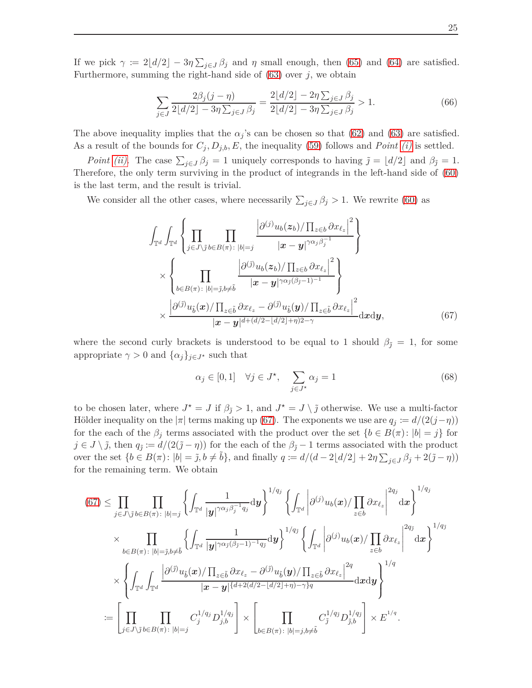If we pick  $\gamma := 2\lfloor d/2 \rfloor - 3\eta \sum_{j \in J} \beta_j$  and  $\eta$  small enough, then [\(65\)](#page-23-0) and [\(64\)](#page-23-1) are satisfied. Furthermore, summing the right-hand side of [\(63\)](#page-23-2) over *j*, we obtain

$$
\sum_{j \in J} \frac{2\beta_j (j - \eta)}{2\lfloor d/2 \rfloor - 3\eta \sum_{j \in J} \beta_j} = \frac{2\lfloor d/2 \rfloor - 2\eta \sum_{j \in J} \beta_j}{2\lfloor d/2 \rfloor - 3\eta \sum_{j \in J} \beta_j} > 1.
$$
\n(66)

The above inequality implies that the  $\alpha_j$ 's can be chosen so that [\(62\)](#page-22-5) and [\(63\)](#page-23-2) are satisfied. As a result of the bounds for  $C_j$ ,  $D_{j,b}$ ,  $E$ , the inequality [\(59\)](#page-22-3) follows and *Point (i)* is settled.

*Point (ii)*. The case  $\sum_{j\in J} \beta_j = 1$  uniquely corresponds to having  $\tilde{j} = \lfloor d/2 \rfloor$  and  $\beta_{\tilde{j}} = 1$ . Therefore, the only term surviving in the product of integrands in the left-hand side of [\(60\)](#page-22-6) is the last term, and the result is trivial.

We consider all the other cases, where necessarily  $\sum_{j\in J} \beta_j > 1$ . We rewrite [\(60\)](#page-22-6) as

$$
\int_{\mathbb{T}^d} \int_{\mathbb{T}^d} \left\{ \prod_{j \in J \setminus \tilde{j}} \prod_{b \in B(\pi) : |b|=j} \frac{\left| \partial^{(j)} u_b(z_b) / \prod_{z \in b} \partial x_{\ell_z} \right|^2}{|\mathbf{x} - \mathbf{y}|^{\gamma \alpha_j \beta_j^{-1}}} \right\} \times \left\{ \prod_{b \in B(\pi) : |b| = \tilde{j}, b \neq \tilde{b}} \frac{\left| \partial^{(\tilde{j})} u_b(z_b) / \prod_{z \in b} \partial x_{\ell_z} \right|^2}{|\mathbf{x} - \mathbf{y}|^{\gamma \alpha_j (\beta_j - 1)^{-1}}} \right\} \times \frac{\left| \partial^{(\tilde{j})} u_{\tilde{b}}(\mathbf{x}) / \prod_{z \in \tilde{b}} \partial x_{\ell_z} - \partial^{(\tilde{j})} u_{\tilde{b}}(\mathbf{y}) / \prod_{z \in \tilde{b}} \partial x_{\ell_z} \right|^2}{|\mathbf{x} - \mathbf{y}|^{d + (d/2 - \lfloor d/2 \rfloor + \eta) 2 - \gamma}} \mathrm{d} \mathbf{x} \mathrm{d} \mathbf{y}, \tag{67}
$$

where the second curly brackets is understood to be equal to 1 should  $\beta_{\tilde{J}} = 1$ , for some appropriate  $\gamma > 0$  and  $\{\alpha_j\}_{j \in J^*}$  such that

<span id="page-24-1"></span><span id="page-24-0"></span>
$$
\alpha_j \in [0, 1] \quad \forall j \in J^\star, \quad \sum_{j \in J^\star} \alpha_j = 1 \tag{68}
$$

to be chosen later, where  $J^* = J$  if  $\beta_{\tilde{J}} > 1$ , and  $J^* = J \setminus \tilde{j}$  otherwise. We use a multi-factor Hölder inequality on the  $|\pi|$  terms making up [\(67\)](#page-24-0). The exponents we use are  $q_j := d/(2(j - \eta))$ for the each of the  $\beta_j$  terms associated with the product over the set  $\{b \in B(\pi): |b| = j\}$  for  $j \in J \setminus \tilde{j}$ , then  $q_{\tilde{j}} := d/(2(\tilde{j} - \eta))$  for the each of the  $\beta_{\tilde{j}} - 1$  terms associated with the product over the set  $\{b \in B(\pi) : |b| = \tilde{j}, b \neq \tilde{b}\}$ , and finally  $q := d/(d - 2\lfloor d/2 \rfloor + 2\eta \sum_{j \in J} \beta_j + 2(\tilde{j} - \eta))$ for the remaining term. We obtain

$$
(67) \leq \prod_{j \in J \setminus \tilde{j}} \prod_{b \in B(\pi): |b|=j} \left\{ \int_{\mathbb{T}^d} \frac{1}{|\mathbf{y}|^{\gamma \alpha_j \beta_j^{-1} q_j}} d\mathbf{y} \right\}^{1/q_j} \left\{ \int_{\mathbb{T}^d} \left| \partial^{(j)} u_b(\mathbf{x}) / \prod_{z \in b} \partial x_{\ell_z} \right|^{2q_j} d\mathbf{x} \right\}^{1/q_j}
$$
  
\n
$$
\times \prod_{b \in B(\pi): |b|= \tilde{j}, b \neq \tilde{b}} \left\{ \int_{\mathbb{T}^d} \frac{1}{|\mathbf{y}|^{\gamma \alpha_j (\beta_j - 1) - 1} q_j} d\mathbf{y} \right\}^{1/q_j} \left\{ \int_{\mathbb{T}^d} \left| \partial^{(j)} u_b(\mathbf{x}) / \prod_{z \in b} \partial x_{\ell_z} \right|^{2q_j} d\mathbf{x} \right\}^{1/q_j}
$$
  
\n
$$
\times \left\{ \int_{\mathbb{T}^d} \int_{\mathbb{T}^d} \frac{\left| \partial^{(\tilde{j})} u_{\tilde{b}}(\mathbf{x}) / \prod_{z \in \tilde{b}} \partial x_{\ell_z} - \partial^{(\tilde{j})} u_{\tilde{b}}(\mathbf{y}) / \prod_{z \in \tilde{b}} \partial x_{\ell_z} \right|^{2q} d\mathbf{x} d\mathbf{y} \right\}^{1/q}
$$
  
\n
$$
:= \left[ \prod_{j \in J \setminus \tilde{j}} \prod_{b \in B(\pi): |b|=j} C_j^{1/q_j} D_{j,b}^{1/q_j} \right] \times \left[ \prod_{b \in B(\pi): |b|=j, b \neq \tilde{b}} C_j^{1/q_j} D_{\tilde{j},b}^{1/q_j} \right] \times E^{1/q}.
$$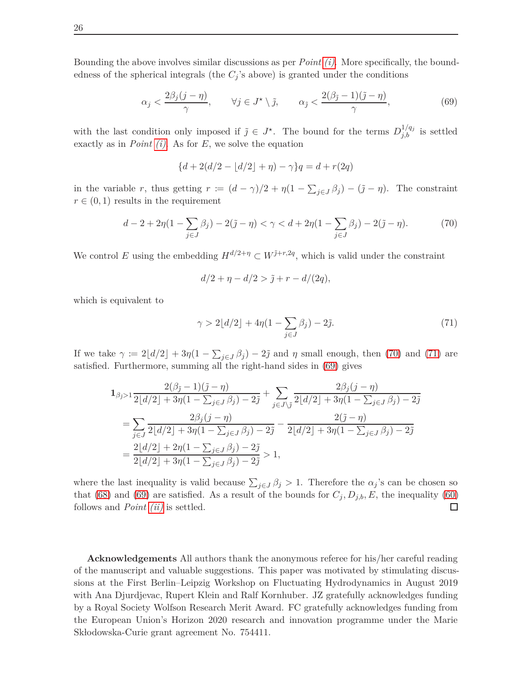Bounding the above involves similar discussions as per *Point [\(i\)](#page-22-1)*. More specifically, the boundedness of the spherical integrals (the  $C_j$ 's above) is granted under the conditions

$$
\alpha_j < \frac{2\beta_j(j-\eta)}{\gamma}, \qquad \forall j \in J^\star \setminus \tilde{\jmath}, \qquad \alpha_{\tilde{\jmath}} < \frac{2(\beta_{\tilde{\jmath}}-1)(\tilde{\jmath}-\eta)}{\gamma}, \tag{69}
$$

with the last condition only imposed if  $\tilde{j} \in J^*$ . The bound for the terms  $D_{j,b}^{1/q_j}$  is settled exactly as in *Point [\(i\)](#page-22-1)*. As for *E*, we solve the equation

<span id="page-25-2"></span>
$$
{d + 2(d/2 - \lfloor d/2 \rfloor + \eta) - \gamma}q = d + r(2q)
$$

in the variable *r*, thus getting  $r := (d - \gamma)/2 + \eta(1 - \sum_{j \in J} \beta_j) - (\tilde{j} - \eta)$ . The constraint  $r \in (0,1)$  results in the requirement

$$
d - 2 + 2\eta(1 - \sum_{j \in J} \beta_j) - 2(\tilde{j} - \eta) < \gamma < d + 2\eta(1 - \sum_{j \in J} \beta_j) - 2(\tilde{j} - \eta). \tag{70}
$$

We control *E* using the embedding  $H^{d/2+\eta} \subset W^{j+r,2q}$ , which is valid under the constraint

<span id="page-25-1"></span><span id="page-25-0"></span>
$$
d/2 + \eta - d/2 > \tilde{j} + r - d/(2q),
$$

which is equivalent to

$$
\gamma > 2\lfloor d/2 \rfloor + 4\eta (1 - \sum_{j \in J} \beta_j) - 2\tilde{j}.
$$
 (71)

If we take  $\gamma := 2\lfloor d/2 \rfloor + 3\eta(1 - \sum_{j \in J} \beta_j) - 2\tilde{j}$  and  $\eta$  small enough, then [\(70\)](#page-25-0) and [\(71\)](#page-25-1) are satisfied. Furthermore, summing all the right-hand sides in [\(69\)](#page-25-2) gives

$$
1_{\beta_{\tilde{j}}>1} \frac{2(\beta_{\tilde{j}}-1)(\tilde{j}-\eta)}{2\lfloor d/2 \rfloor + 3\eta(1-\sum_{j\in J}\beta_j) - 2\tilde{j}} + \sum_{j\in J\setminus\tilde{j}} \frac{2\beta_j(j-\eta)}{2\lfloor d/2 \rfloor + 3\eta(1-\sum_{j\in J}\beta_j) - 2\tilde{j}} = \sum_{j\in J} \frac{2\beta_j(j-\eta)}{2\lfloor d/2 \rfloor + 3\eta(1-\sum_{j\in J}\beta_j) - 2\tilde{j}} - \frac{2(\tilde{j}-\eta)}{2\lfloor d/2 \rfloor + 3\eta(1-\sum_{j\in J}\beta_j) - 2\tilde{j}} = \frac{2\lfloor d/2 \rfloor + 2\eta(1-\sum_{j\in J}\beta_j) - 2\tilde{j}}{2\lfloor d/2 \rfloor + 3\eta(1-\sum_{j\in J}\beta_j) - 2\tilde{j}} > 1,
$$

where the last inequality is valid because  $\sum_{j\in J}\beta_j > 1$ . Therefore the  $\alpha_j$ 's can be chosen so that [\(68\)](#page-24-1) and [\(69\)](#page-25-2) are satisfied. As a result of the bounds for  $C_j$ ,  $D_{j,b}$ ,  $E$ , the inequality [\(60\)](#page-22-6) follows and *Point [\(ii\)](#page-22-2)* is settled.  $\Box$ 

**Acknowledgements** All authors thank the anonymous referee for his/her careful reading of the manuscript and valuable suggestions. This paper was motivated by stimulating discussions at the First Berlin–Leipzig Workshop on Fluctuating Hydrodynamics in August 2019 with Ana Djurdjevac, Rupert Klein and Ralf Kornhuber. JZ gratefully acknowledges funding by a Royal Society Wolfson Research Merit Award. FC gratefully acknowledges funding from the European Union's Horizon 2020 research and innovation programme under the Marie Sk lodowska-Curie grant agreement No. 754411.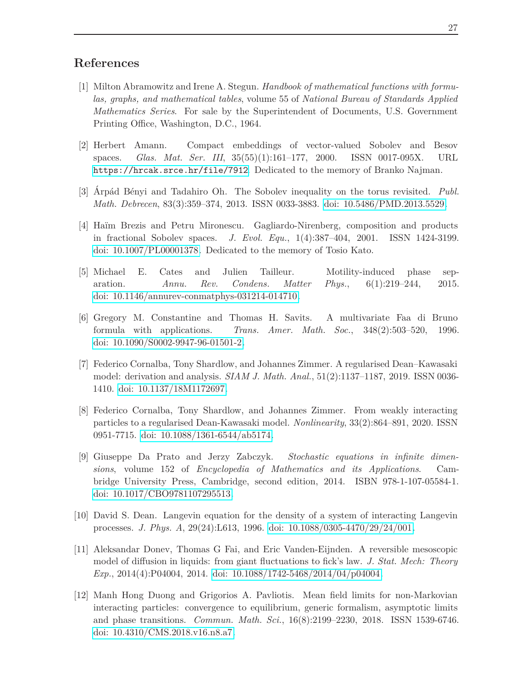## **References**

- <span id="page-26-8"></span>[1] Milton Abramowitz and Irene A. Stegun. *Handbook of mathematical functions with formulas, graphs, and mathematical tables*, volume 55 of *National Bureau of Standards Applied Mathematics Series*. For sale by the Superintendent of Documents, U.S. Government Printing Office, Washington, D.C., 1964.
- <span id="page-26-11"></span>[2] Herbert Amann. Compact embeddings of vector-valued Sobolev and Besov spaces. *Glas. Mat. Ser. III*, 35(55)(1):161–177, 2000. ISSN 0017-095X. URL <https://hrcak.srce.hr/file/7912>. Dedicated to the memory of Branko Najman.
- <span id="page-26-6"></span>[3] Arpád Bényi and Tadahiro Oh. The Sobolev inequality on the torus revisited. *Publ. Math. Debrecen*, 83(3):359–374, 2013. ISSN 0033-3883. [doi: 10.5486/PMD.2013.5529.](http://dx.doi.org/10.5486/PMD.2013.5529)
- <span id="page-26-9"></span>[4] Haïm Brezis and Petru Mironescu. Gagliardo-Nirenberg, composition and products in fractional Sobolev spaces. *J. Evol. Equ.*, 1(4):387–404, 2001. ISSN 1424-3199. [doi: 10.1007/PL00001378.](http://dx.doi.org/10.1007/PL00001378) Dedicated to the memory of Tosio Kato.
- <span id="page-26-1"></span>[5] Michael E. Cates and Julien Tailleur. Motility-induced phase separation. *Annu. Rev. Condens. Matter Phys.*, 6(1):219–244, 2015. [doi: 10.1146/annurev-conmatphys-031214-014710.](http://dx.doi.org/10.1146/annurev-conmatphys-031214-014710)
- <span id="page-26-10"></span>[6] Gregory M. Constantine and Thomas H. Savits. A multivariate Faa di Bruno formula with applications. *Trans. Amer. Math. Soc.*, 348(2):503–520, 1996. [doi: 10.1090/S0002-9947-96-01501-2.](http://dx.doi.org/10.1090/S0002-9947-96-01501-2)
- <span id="page-26-3"></span>[7] Federico Cornalba, Tony Shardlow, and Johannes Zimmer. A regularised Dean–Kawasaki model: derivation and analysis. *SIAM J. Math. Anal.*, 51(2):1137–1187, 2019. ISSN 0036- 1410. [doi: 10.1137/18M1172697.](http://dx.doi.org/10.1137/18M1172697)
- <span id="page-26-4"></span>[8] Federico Cornalba, Tony Shardlow, and Johannes Zimmer. From weakly interacting particles to a regularised Dean-Kawasaki model. *Nonlinearity*, 33(2):864–891, 2020. ISSN 0951-7715. [doi: 10.1088/1361-6544/ab5174.](http://dx.doi.org/10.1088/1361-6544/ab5174)
- <span id="page-26-5"></span>[9] Giuseppe Da Prato and Jerzy Zabczyk. *Stochastic equations in infinite dimensions*, volume 152 of *Encyclopedia of Mathematics and its Applications*. Cambridge University Press, Cambridge, second edition, 2014. ISBN 978-1-107-05584-1. [doi: 10.1017/CBO9781107295513.](http://dx.doi.org/10.1017/CBO9781107295513)
- <span id="page-26-0"></span>[10] David S. Dean. Langevin equation for the density of a system of interacting Langevin processes. *J. Phys. A*, 29(24):L613, 1996. [doi: 10.1088/0305-4470/29/24/001.](http://dx.doi.org/10.1088/0305-4470/29/24/001)
- <span id="page-26-2"></span>[11] Aleksandar Donev, Thomas G Fai, and Eric Vanden-Eijnden. A reversible mesoscopic model of diffusion in liquids: from giant fluctuations to fick's law. *J. Stat. Mech: Theory Exp.*, 2014(4):P04004, 2014. [doi: 10.1088/1742-5468/2014/04/p04004.](http://dx.doi.org/10.1088/1742-5468/2014/04/p04004)
- <span id="page-26-7"></span>[12] Manh Hong Duong and Grigorios A. Pavliotis. Mean field limits for non-Markovian interacting particles: convergence to equilibrium, generic formalism, asymptotic limits and phase transitions. *Commun. Math. Sci.*, 16(8):2199–2230, 2018. ISSN 1539-6746. [doi: 10.4310/CMS.2018.v16.n8.a7.](http://dx.doi.org/10.4310/CMS.2018.v16.n8.a7)